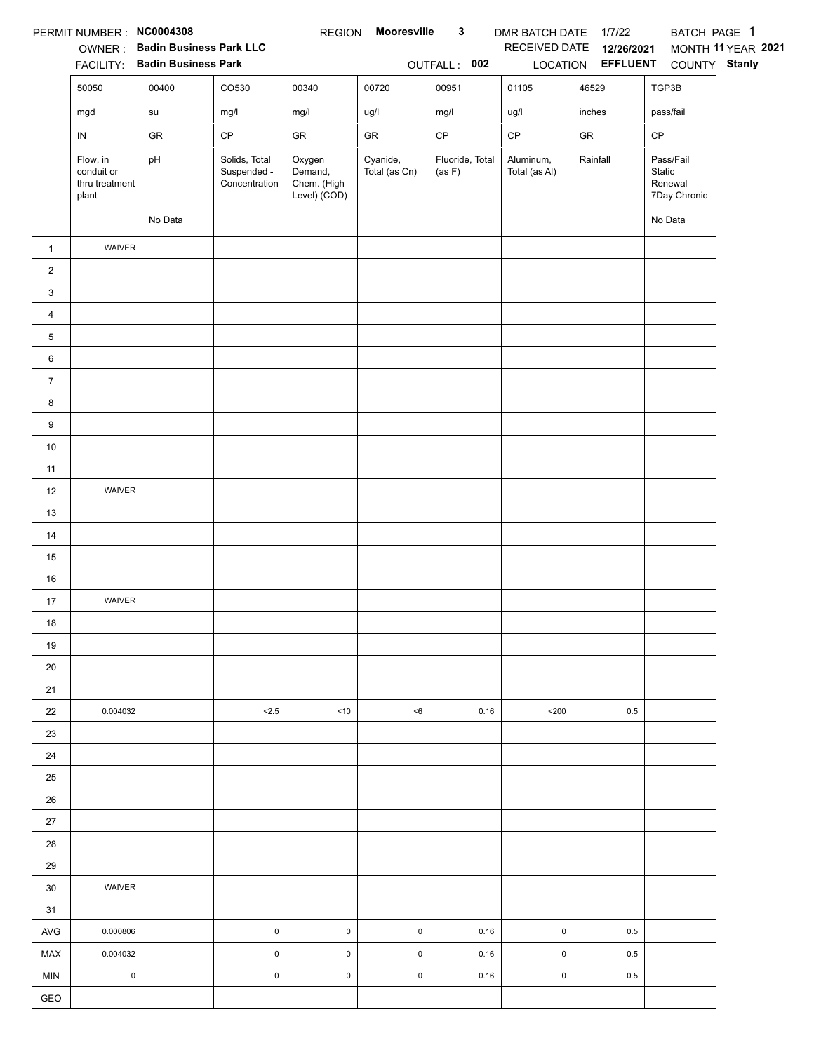|                | PERMIT NUMBER : NC0004308                         |                                |                                               | <b>REGION</b>                                    | Mooresville               | $\mathbf{3}$              | DMR BATCH DATE 1/7/22      |                   | BATCH PAGE 1                                   |                    |
|----------------|---------------------------------------------------|--------------------------------|-----------------------------------------------|--------------------------------------------------|---------------------------|---------------------------|----------------------------|-------------------|------------------------------------------------|--------------------|
|                |                                                   | OWNER: Badin Business Park LLC |                                               |                                                  |                           |                           | RECEIVED DATE              | 12/26/2021        |                                                | MONTH 11 YEAR 2021 |
|                |                                                   | FACILITY: Badin Business Park  |                                               |                                                  |                           | OUTFALL: 002              |                            | LOCATION EFFLUENT | COUNTY Stanly                                  |                    |
|                | 50050                                             | 00400                          | CO530                                         | 00340                                            | 00720                     | 00951                     | 01105                      | 46529             | TGP3B                                          |                    |
|                | mgd                                               | su                             | mg/l                                          | mg/l                                             | ug/l                      | mg/l                      | ug/l                       | inches            | pass/fail                                      |                    |
|                | IN                                                | GR                             | $\mathsf{CP}$                                 | GR                                               | ${\sf GR}$                | $\mathsf{CP}$             | $\mathsf{CP}$              | ${\sf GR}$        | CP                                             |                    |
|                | Flow, in<br>conduit or<br>thru treatment<br>plant | pH                             | Solids, Total<br>Suspended -<br>Concentration | Oxygen<br>Demand,<br>Chem. (High<br>Level) (COD) | Cyanide,<br>Total (as Cn) | Fluoride, Total<br>(as F) | Aluminum,<br>Total (as Al) | Rainfall          | Pass/Fail<br>Static<br>Renewal<br>7Day Chronic |                    |
|                |                                                   | No Data                        |                                               |                                                  |                           |                           |                            |                   | No Data                                        |                    |
| $\mathbf{1}$   | WAIVER                                            |                                |                                               |                                                  |                           |                           |                            |                   |                                                |                    |
| $\overline{2}$ |                                                   |                                |                                               |                                                  |                           |                           |                            |                   |                                                |                    |
| 3              |                                                   |                                |                                               |                                                  |                           |                           |                            |                   |                                                |                    |
| 4              |                                                   |                                |                                               |                                                  |                           |                           |                            |                   |                                                |                    |
| 5              |                                                   |                                |                                               |                                                  |                           |                           |                            |                   |                                                |                    |
| 6              |                                                   |                                |                                               |                                                  |                           |                           |                            |                   |                                                |                    |
| $\overline{7}$ |                                                   |                                |                                               |                                                  |                           |                           |                            |                   |                                                |                    |
| 8              |                                                   |                                |                                               |                                                  |                           |                           |                            |                   |                                                |                    |
| 9              |                                                   |                                |                                               |                                                  |                           |                           |                            |                   |                                                |                    |
| $10\,$         |                                                   |                                |                                               |                                                  |                           |                           |                            |                   |                                                |                    |
| 11             |                                                   |                                |                                               |                                                  |                           |                           |                            |                   |                                                |                    |
| 12             | WAIVER                                            |                                |                                               |                                                  |                           |                           |                            |                   |                                                |                    |
| 13             |                                                   |                                |                                               |                                                  |                           |                           |                            |                   |                                                |                    |
| 14             |                                                   |                                |                                               |                                                  |                           |                           |                            |                   |                                                |                    |
| 15             |                                                   |                                |                                               |                                                  |                           |                           |                            |                   |                                                |                    |
| 16             |                                                   |                                |                                               |                                                  |                           |                           |                            |                   |                                                |                    |
| 17             | WAIVER                                            |                                |                                               |                                                  |                           |                           |                            |                   |                                                |                    |
| 18             |                                                   |                                |                                               |                                                  |                           |                           |                            |                   |                                                |                    |
| 19             |                                                   |                                |                                               |                                                  |                           |                           |                            |                   |                                                |                    |
| 20             |                                                   |                                |                                               |                                                  |                           |                           |                            |                   |                                                |                    |
| 21             |                                                   |                                |                                               |                                                  |                           |                           |                            |                   |                                                |                    |
| 22             | 0.004032                                          |                                | 2.5                                           | ~10                                              | < 6                       | 0.16                      | $200$                      | 0.5               |                                                |                    |
| 23             |                                                   |                                |                                               |                                                  |                           |                           |                            |                   |                                                |                    |
| 24             |                                                   |                                |                                               |                                                  |                           |                           |                            |                   |                                                |                    |
| 25             |                                                   |                                |                                               |                                                  |                           |                           |                            |                   |                                                |                    |
| 26             |                                                   |                                |                                               |                                                  |                           |                           |                            |                   |                                                |                    |
| 27             |                                                   |                                |                                               |                                                  |                           |                           |                            |                   |                                                |                    |
| 28             |                                                   |                                |                                               |                                                  |                           |                           |                            |                   |                                                |                    |
| 29             |                                                   |                                |                                               |                                                  |                           |                           |                            |                   |                                                |                    |
| 30             | <b>WAIVER</b>                                     |                                |                                               |                                                  |                           |                           |                            |                   |                                                |                    |
| 31             |                                                   |                                |                                               |                                                  |                           |                           |                            |                   |                                                |                    |
| AVG            | 0.000806                                          |                                | 0                                             | $\mathsf{O}\xspace$                              | $\pmb{0}$                 | 0.16                      | $\pmb{0}$                  | 0.5               |                                                |                    |
| <b>MAX</b>     | 0.004032                                          |                                | 0                                             | $\mathsf 0$                                      | $\pmb{0}$                 | 0.16                      | $\mathsf 0$                | 0.5               |                                                |                    |
| <b>MIN</b>     | $\mathsf 0$                                       |                                | $\mathsf 0$                                   | $\mathsf 0$                                      | $\pmb{0}$                 | 0.16                      | $\mathsf 0$                | 0.5               |                                                |                    |
| GEO            |                                                   |                                |                                               |                                                  |                           |                           |                            |                   |                                                |                    |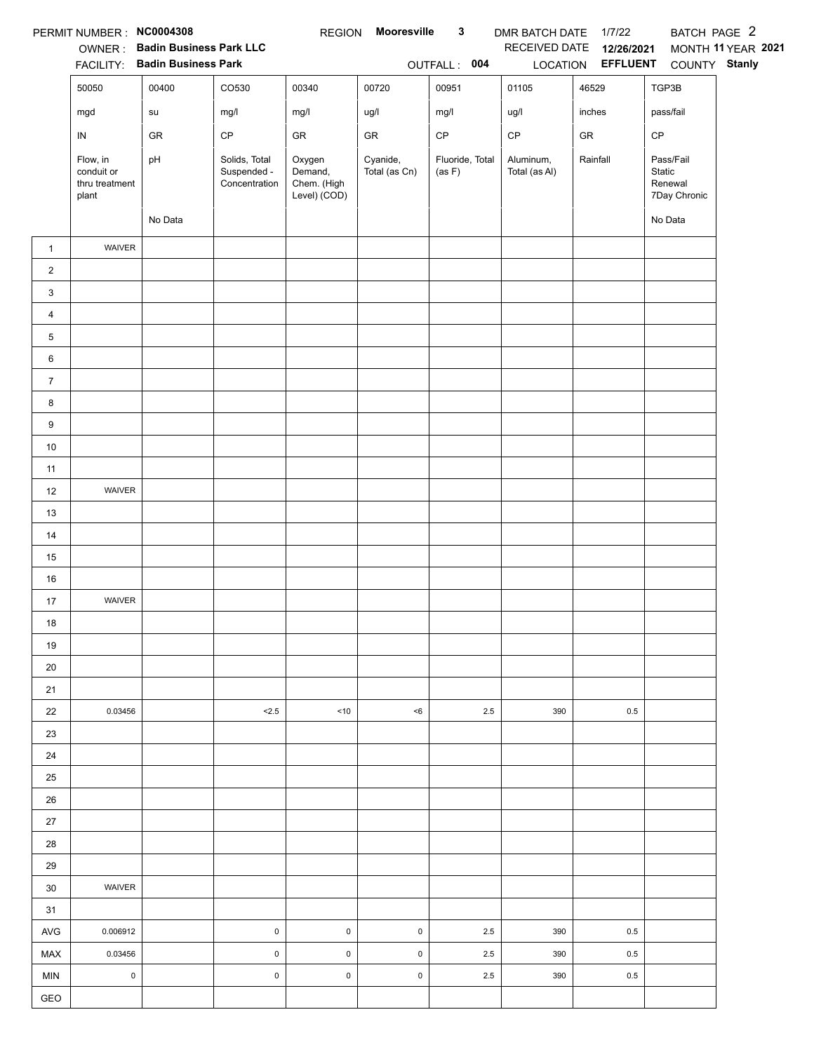|                | PERMIT NUMBER : NC0004308                         |                                |                                               | <b>REGION</b>                                    | Mooresville               | $\mathbf{3}$              | DMR BATCH DATE 1/7/22      |                   | BATCH PAGE 2                                   |                    |
|----------------|---------------------------------------------------|--------------------------------|-----------------------------------------------|--------------------------------------------------|---------------------------|---------------------------|----------------------------|-------------------|------------------------------------------------|--------------------|
|                |                                                   | OWNER: Badin Business Park LLC |                                               |                                                  |                           |                           | RECEIVED DATE              | 12/26/2021        |                                                | MONTH 11 YEAR 2021 |
|                |                                                   | FACILITY: Badin Business Park  |                                               |                                                  |                           | OUTFALL: 004              |                            | LOCATION EFFLUENT | COUNTY Stanly                                  |                    |
|                | 50050                                             | 00400                          | CO530                                         | 00340                                            | 00720                     | 00951                     | 01105                      | 46529             | TGP3B                                          |                    |
|                | mgd                                               | su                             | mg/l                                          | mg/l                                             | ug/l                      | mg/l                      | ug/l                       | inches            | pass/fail                                      |                    |
|                | IN                                                | GR                             | $\mathsf{CP}$                                 | GR                                               | ${\sf GR}$                | $\mathsf{CP}$             | $\mathsf{CP}$              | ${\sf GR}$        | CP                                             |                    |
|                | Flow, in<br>conduit or<br>thru treatment<br>plant | pH                             | Solids, Total<br>Suspended -<br>Concentration | Oxygen<br>Demand,<br>Chem. (High<br>Level) (COD) | Cyanide,<br>Total (as Cn) | Fluoride, Total<br>(as F) | Aluminum,<br>Total (as Al) | Rainfall          | Pass/Fail<br>Static<br>Renewal<br>7Day Chronic |                    |
|                |                                                   | No Data                        |                                               |                                                  |                           |                           |                            |                   | No Data                                        |                    |
| $\mathbf{1}$   | WAIVER                                            |                                |                                               |                                                  |                           |                           |                            |                   |                                                |                    |
| $\overline{2}$ |                                                   |                                |                                               |                                                  |                           |                           |                            |                   |                                                |                    |
| 3              |                                                   |                                |                                               |                                                  |                           |                           |                            |                   |                                                |                    |
| 4              |                                                   |                                |                                               |                                                  |                           |                           |                            |                   |                                                |                    |
| 5              |                                                   |                                |                                               |                                                  |                           |                           |                            |                   |                                                |                    |
| 6              |                                                   |                                |                                               |                                                  |                           |                           |                            |                   |                                                |                    |
| $\overline{7}$ |                                                   |                                |                                               |                                                  |                           |                           |                            |                   |                                                |                    |
| 8              |                                                   |                                |                                               |                                                  |                           |                           |                            |                   |                                                |                    |
| 9              |                                                   |                                |                                               |                                                  |                           |                           |                            |                   |                                                |                    |
| $10\,$         |                                                   |                                |                                               |                                                  |                           |                           |                            |                   |                                                |                    |
| 11             |                                                   |                                |                                               |                                                  |                           |                           |                            |                   |                                                |                    |
| 12             | WAIVER                                            |                                |                                               |                                                  |                           |                           |                            |                   |                                                |                    |
| 13             |                                                   |                                |                                               |                                                  |                           |                           |                            |                   |                                                |                    |
| 14             |                                                   |                                |                                               |                                                  |                           |                           |                            |                   |                                                |                    |
| 15             |                                                   |                                |                                               |                                                  |                           |                           |                            |                   |                                                |                    |
| 16             |                                                   |                                |                                               |                                                  |                           |                           |                            |                   |                                                |                    |
| 17             | WAIVER                                            |                                |                                               |                                                  |                           |                           |                            |                   |                                                |                    |
| 18             |                                                   |                                |                                               |                                                  |                           |                           |                            |                   |                                                |                    |
| 19             |                                                   |                                |                                               |                                                  |                           |                           |                            |                   |                                                |                    |
| 20             |                                                   |                                |                                               |                                                  |                           |                           |                            |                   |                                                |                    |
| 21             |                                                   |                                |                                               |                                                  |                           |                           |                            |                   |                                                |                    |
| 22             | 0.03456                                           |                                | 2.5                                           | ~10                                              | < 6                       | 2.5                       | 390                        | 0.5               |                                                |                    |
| 23             |                                                   |                                |                                               |                                                  |                           |                           |                            |                   |                                                |                    |
| 24             |                                                   |                                |                                               |                                                  |                           |                           |                            |                   |                                                |                    |
| 25             |                                                   |                                |                                               |                                                  |                           |                           |                            |                   |                                                |                    |
| 26             |                                                   |                                |                                               |                                                  |                           |                           |                            |                   |                                                |                    |
| 27             |                                                   |                                |                                               |                                                  |                           |                           |                            |                   |                                                |                    |
| 28             |                                                   |                                |                                               |                                                  |                           |                           |                            |                   |                                                |                    |
| 29             |                                                   |                                |                                               |                                                  |                           |                           |                            |                   |                                                |                    |
| 30             | <b>WAIVER</b>                                     |                                |                                               |                                                  |                           |                           |                            |                   |                                                |                    |
| 31             |                                                   |                                |                                               |                                                  |                           |                           |                            |                   |                                                |                    |
| AVG            | 0.006912                                          |                                | 0                                             | $\mathsf{O}$                                     | $\pmb{0}$                 | 2.5                       | 390                        | 0.5               |                                                |                    |
| MAX            | 0.03456                                           |                                | $\mathsf{O}\xspace$                           | $\mathsf 0$                                      | $\pmb{0}$                 | 2.5                       | 390                        | 0.5               |                                                |                    |
| <b>MIN</b>     | $\mathsf 0$                                       |                                | $\mathsf 0$                                   | $\mathsf 0$                                      | $\pmb{0}$                 | 2.5                       | 390                        | 0.5               |                                                |                    |
| GEO            |                                                   |                                |                                               |                                                  |                           |                           |                            |                   |                                                |                    |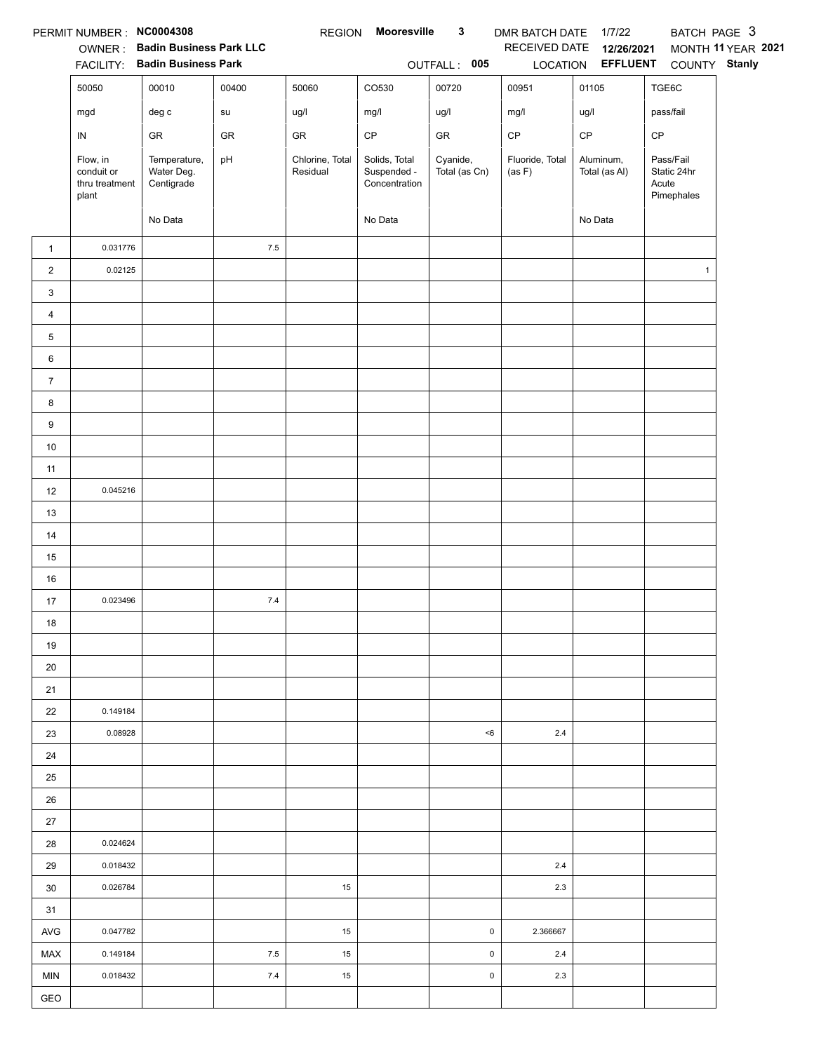|                | PERMIT NUMBER: NC0004308                          |                                          |            | <b>REGION</b>               | Mooresville                                   | $\mathbf{3}$              | DMR BATCH DATE 1/7/22     |                            | BATCH PAGE 3                                    |                    |
|----------------|---------------------------------------------------|------------------------------------------|------------|-----------------------------|-----------------------------------------------|---------------------------|---------------------------|----------------------------|-------------------------------------------------|--------------------|
|                | OWNER:                                            | <b>Badin Business Park LLC</b>           |            |                             |                                               |                           | RECEIVED DATE             | 12/26/2021                 |                                                 | MONTH 11 YEAR 2021 |
|                | <b>FACILITY:</b>                                  | <b>Badin Business Park</b>               |            |                             |                                               | OUTFALL: 005              |                           | LOCATION EFFLUENT          | COUNTY Stanly                                   |                    |
|                | 50050                                             | 00010                                    | 00400      | 50060                       | CO530                                         | 00720                     | 00951                     | 01105                      | TGE6C                                           |                    |
|                | mgd                                               | $\deg$ $\mathtt{c}$                      | ${\sf su}$ | ug/l                        | mg/l                                          | ug/l                      | mg/l                      | ug/l                       | pass/fail                                       |                    |
|                | ${\sf IN}$                                        | GR                                       | GR         | GR                          | $\mathsf{CP}$                                 | GR                        | $\mathsf{CP}$             | $\mathsf{CP}$              | CP                                              |                    |
|                | Flow, in<br>conduit or<br>thru treatment<br>plant | Temperature,<br>Water Deg.<br>Centigrade | pH         | Chlorine, Total<br>Residual | Solids, Total<br>Suspended -<br>Concentration | Cyanide,<br>Total (as Cn) | Fluoride, Total<br>(as F) | Aluminum,<br>Total (as Al) | Pass/Fail<br>Static 24hr<br>Acute<br>Pimephales |                    |
|                |                                                   | No Data                                  |            |                             | No Data                                       |                           |                           | No Data                    |                                                 |                    |
| $\mathbf{1}$   | 0.031776                                          |                                          | $7.5\,$    |                             |                                               |                           |                           |                            |                                                 |                    |
| $\overline{a}$ | 0.02125                                           |                                          |            |                             |                                               |                           |                           |                            | $\mathbf{1}$                                    |                    |
| 3              |                                                   |                                          |            |                             |                                               |                           |                           |                            |                                                 |                    |
| 4              |                                                   |                                          |            |                             |                                               |                           |                           |                            |                                                 |                    |
| 5              |                                                   |                                          |            |                             |                                               |                           |                           |                            |                                                 |                    |
| 6              |                                                   |                                          |            |                             |                                               |                           |                           |                            |                                                 |                    |
| $\overline{7}$ |                                                   |                                          |            |                             |                                               |                           |                           |                            |                                                 |                    |
| 8              |                                                   |                                          |            |                             |                                               |                           |                           |                            |                                                 |                    |
| 9              |                                                   |                                          |            |                             |                                               |                           |                           |                            |                                                 |                    |
| $10\,$         |                                                   |                                          |            |                             |                                               |                           |                           |                            |                                                 |                    |
| 11             |                                                   |                                          |            |                             |                                               |                           |                           |                            |                                                 |                    |
| 12             | 0.045216                                          |                                          |            |                             |                                               |                           |                           |                            |                                                 |                    |
| 13             |                                                   |                                          |            |                             |                                               |                           |                           |                            |                                                 |                    |
| 14             |                                                   |                                          |            |                             |                                               |                           |                           |                            |                                                 |                    |
| 15             |                                                   |                                          |            |                             |                                               |                           |                           |                            |                                                 |                    |
| 16             |                                                   |                                          |            |                             |                                               |                           |                           |                            |                                                 |                    |
| 17             | 0.023496                                          |                                          | $7.4$      |                             |                                               |                           |                           |                            |                                                 |                    |
| 18             |                                                   |                                          |            |                             |                                               |                           |                           |                            |                                                 |                    |
| 19             |                                                   |                                          |            |                             |                                               |                           |                           |                            |                                                 |                    |
| 20             |                                                   |                                          |            |                             |                                               |                           |                           |                            |                                                 |                    |
| 21             |                                                   |                                          |            |                             |                                               |                           |                           |                            |                                                 |                    |
| 22             | 0.149184                                          |                                          |            |                             |                                               |                           |                           |                            |                                                 |                    |
| 23             | 0.08928                                           |                                          |            |                             |                                               | $6$                       | $2.4\,$                   |                            |                                                 |                    |
| 24             |                                                   |                                          |            |                             |                                               |                           |                           |                            |                                                 |                    |
| 25             |                                                   |                                          |            |                             |                                               |                           |                           |                            |                                                 |                    |
| 26             |                                                   |                                          |            |                             |                                               |                           |                           |                            |                                                 |                    |
| 27             |                                                   |                                          |            |                             |                                               |                           |                           |                            |                                                 |                    |
| 28             | 0.024624                                          |                                          |            |                             |                                               |                           |                           |                            |                                                 |                    |
| 29             | 0.018432                                          |                                          |            |                             |                                               |                           | 2.4                       |                            |                                                 |                    |
| 30             | 0.026784                                          |                                          |            | 15                          |                                               |                           | 2.3                       |                            |                                                 |                    |
| 31             |                                                   |                                          |            |                             |                                               |                           |                           |                            |                                                 |                    |
| <b>AVG</b>     | 0.047782                                          |                                          |            | 15                          |                                               | $\pmb{0}$                 | 2.366667                  |                            |                                                 |                    |
| MAX            | 0.149184                                          |                                          | 7.5        | 15                          |                                               | $\pmb{0}$                 | 2.4                       |                            |                                                 |                    |
| MIN            | 0.018432                                          |                                          | 7.4        | 15                          |                                               | $\pmb{0}$                 | 2.3                       |                            |                                                 |                    |
| GEO            |                                                   |                                          |            |                             |                                               |                           |                           |                            |                                                 |                    |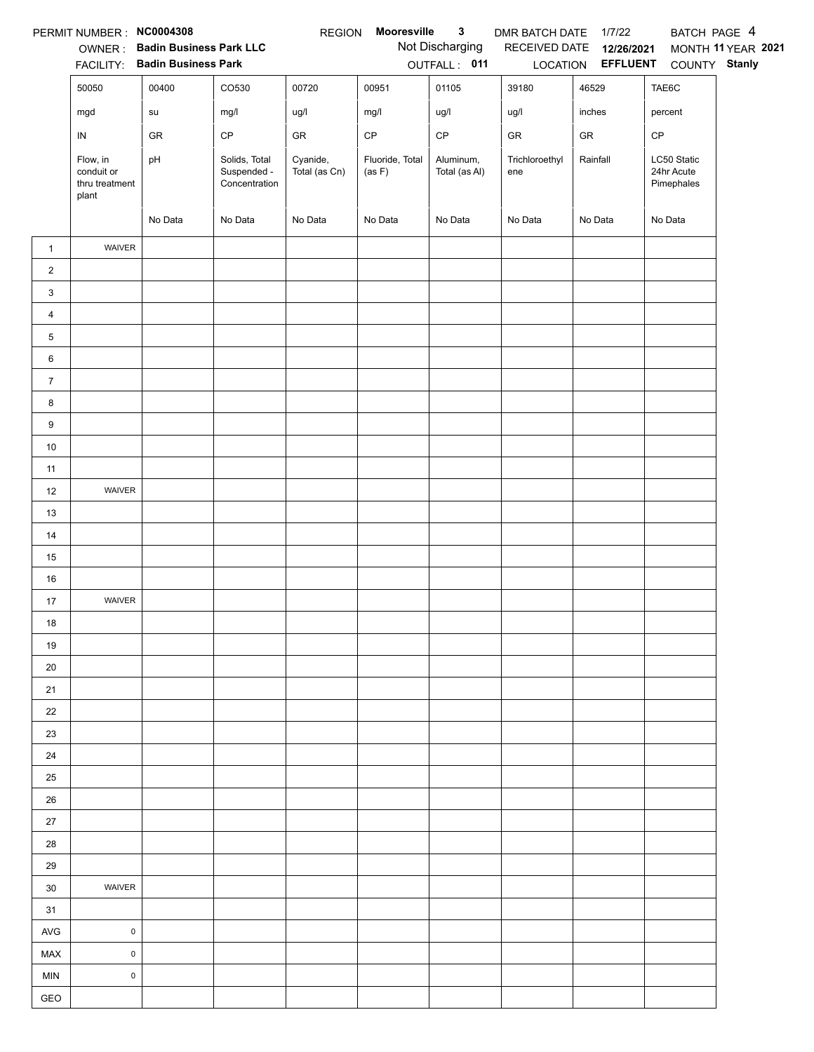|                 | PERMIT NUMBER : NC0004308                         |                                                                 |                                               | <b>REGION</b>             | Mooresville               | $\mathbf{3}$                    | DMR BATCH DATE        | 1/7/22                          | BATCH PAGE 4                            |                    |
|-----------------|---------------------------------------------------|-----------------------------------------------------------------|-----------------------------------------------|---------------------------|---------------------------|---------------------------------|-----------------------|---------------------------------|-----------------------------------------|--------------------|
|                 |                                                   | OWNER: Badin Business Park LLC<br>FACILITY: Badin Business Park |                                               |                           |                           | Not Discharging<br>OUTFALL: 011 | RECEIVED DATE         | 12/26/2021<br>LOCATION EFFLUENT | COUNTY Stanly                           | MONTH 11 YEAR 2021 |
|                 | 50050                                             | 00400                                                           | CO530                                         | 00720                     | 00951                     | 01105                           | 39180                 | 46529                           | TAE6C                                   |                    |
|                 | mgd                                               | su                                                              | mg/l                                          | ug/l                      | mg/l                      | ug/l                            | ug/l                  | inches                          | percent                                 |                    |
|                 |                                                   |                                                                 |                                               |                           |                           | CP                              |                       |                                 |                                         |                    |
|                 | ${\sf IN}$                                        | ${\sf GR}$                                                      | $\mathsf{CP}$                                 | ${\sf GR}$                | $\mathsf{CP}$             |                                 | ${\sf GR}$            | ${\sf GR}$                      | CP                                      |                    |
|                 | Flow, in<br>conduit or<br>thru treatment<br>plant | pH                                                              | Solids, Total<br>Suspended -<br>Concentration | Cyanide,<br>Total (as Cn) | Fluoride, Total<br>(as F) | Aluminum,<br>Total (as Al)      | Trichloroethyl<br>ene | Rainfall                        | LC50 Static<br>24hr Acute<br>Pimephales |                    |
|                 |                                                   | No Data                                                         | No Data                                       | No Data                   | No Data                   | No Data                         | No Data               | No Data                         | No Data                                 |                    |
| $\mathbf{1}$    | WAIVER                                            |                                                                 |                                               |                           |                           |                                 |                       |                                 |                                         |                    |
| $\overline{2}$  |                                                   |                                                                 |                                               |                           |                           |                                 |                       |                                 |                                         |                    |
| 3               |                                                   |                                                                 |                                               |                           |                           |                                 |                       |                                 |                                         |                    |
| $\overline{4}$  |                                                   |                                                                 |                                               |                           |                           |                                 |                       |                                 |                                         |                    |
| 5               |                                                   |                                                                 |                                               |                           |                           |                                 |                       |                                 |                                         |                    |
| $6\phantom{.}6$ |                                                   |                                                                 |                                               |                           |                           |                                 |                       |                                 |                                         |                    |
| $\overline{7}$  |                                                   |                                                                 |                                               |                           |                           |                                 |                       |                                 |                                         |                    |
| 8               |                                                   |                                                                 |                                               |                           |                           |                                 |                       |                                 |                                         |                    |
| 9               |                                                   |                                                                 |                                               |                           |                           |                                 |                       |                                 |                                         |                    |
| $10\,$          |                                                   |                                                                 |                                               |                           |                           |                                 |                       |                                 |                                         |                    |
| 11              |                                                   |                                                                 |                                               |                           |                           |                                 |                       |                                 |                                         |                    |
| 12              | WAIVER                                            |                                                                 |                                               |                           |                           |                                 |                       |                                 |                                         |                    |
| 13              |                                                   |                                                                 |                                               |                           |                           |                                 |                       |                                 |                                         |                    |
| 14              |                                                   |                                                                 |                                               |                           |                           |                                 |                       |                                 |                                         |                    |
| 15              |                                                   |                                                                 |                                               |                           |                           |                                 |                       |                                 |                                         |                    |
| $16\,$          |                                                   |                                                                 |                                               |                           |                           |                                 |                       |                                 |                                         |                    |
| 17              | WAIVER                                            |                                                                 |                                               |                           |                           |                                 |                       |                                 |                                         |                    |
| $18$            |                                                   |                                                                 |                                               |                           |                           |                                 |                       |                                 |                                         |                    |
| 19              |                                                   |                                                                 |                                               |                           |                           |                                 |                       |                                 |                                         |                    |
| 20              |                                                   |                                                                 |                                               |                           |                           |                                 |                       |                                 |                                         |                    |
| 21              |                                                   |                                                                 |                                               |                           |                           |                                 |                       |                                 |                                         |                    |
| 22              |                                                   |                                                                 |                                               |                           |                           |                                 |                       |                                 |                                         |                    |
| 23              |                                                   |                                                                 |                                               |                           |                           |                                 |                       |                                 |                                         |                    |
| 24              |                                                   |                                                                 |                                               |                           |                           |                                 |                       |                                 |                                         |                    |
| 25              |                                                   |                                                                 |                                               |                           |                           |                                 |                       |                                 |                                         |                    |
| 26              |                                                   |                                                                 |                                               |                           |                           |                                 |                       |                                 |                                         |                    |
| 27              |                                                   |                                                                 |                                               |                           |                           |                                 |                       |                                 |                                         |                    |
| 28              |                                                   |                                                                 |                                               |                           |                           |                                 |                       |                                 |                                         |                    |
| 29              |                                                   |                                                                 |                                               |                           |                           |                                 |                       |                                 |                                         |                    |
| 30              | WAIVER                                            |                                                                 |                                               |                           |                           |                                 |                       |                                 |                                         |                    |
| 31              |                                                   |                                                                 |                                               |                           |                           |                                 |                       |                                 |                                         |                    |
| AVG             | $\mathsf 0$                                       |                                                                 |                                               |                           |                           |                                 |                       |                                 |                                         |                    |
| MAX             | $\mathsf 0$                                       |                                                                 |                                               |                           |                           |                                 |                       |                                 |                                         |                    |
| <b>MIN</b>      | $\pmb{0}$                                         |                                                                 |                                               |                           |                           |                                 |                       |                                 |                                         |                    |
| GEO             |                                                   |                                                                 |                                               |                           |                           |                                 |                       |                                 |                                         |                    |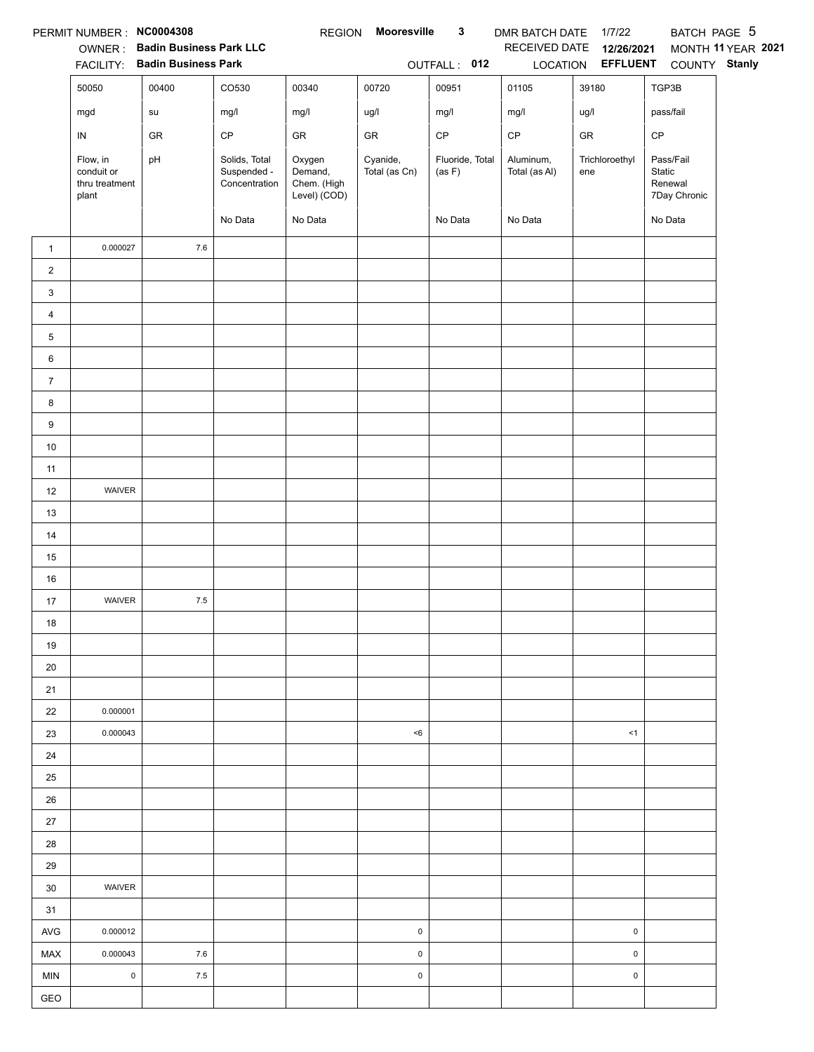|                | PERMIT NUMBER: NC0004308                          | OWNER: Badin Business Park LLC<br>FACILITY: Badin Business Park |                                               | <b>REGION</b>                                    | <b>Mooresville</b>        | $\mathbf{3}$<br>OUTFALL: 012 | DMR BATCH DATE 1/7/22<br>RECEIVED DATE | 12/26/2021<br>LOCATION EFFLUENT | BATCH PAGE 5<br>COUNTY Stanly                  | MONTH 11 YEAR 2021 |
|----------------|---------------------------------------------------|-----------------------------------------------------------------|-----------------------------------------------|--------------------------------------------------|---------------------------|------------------------------|----------------------------------------|---------------------------------|------------------------------------------------|--------------------|
|                | 50050                                             | 00400                                                           | CO530                                         | 00340                                            | 00720                     | 00951                        | 01105                                  | 39180                           | TGP3B                                          |                    |
|                | mgd                                               | su                                                              | mg/l                                          | mg/l                                             | ug/l                      | mg/l                         | mg/l                                   | ug/l                            | pass/fail                                      |                    |
|                | IN                                                | ${\sf GR}$                                                      | $\mathsf{CP}$                                 | ${\sf GR}$                                       | ${\sf GR}$                | $\mathsf{CP}$                | $\mathsf{CP}$                          | ${\sf GR}$                      | CP                                             |                    |
|                | Flow, in<br>conduit or<br>thru treatment<br>plant | pH                                                              | Solids, Total<br>Suspended -<br>Concentration | Oxygen<br>Demand,<br>Chem. (High<br>Level) (COD) | Cyanide,<br>Total (as Cn) | Fluoride, Total<br>(as F)    | Aluminum,<br>Total (as Al)             | Trichloroethyl<br>ene           | Pass/Fail<br>Static<br>Renewal<br>7Day Chronic |                    |
|                |                                                   |                                                                 | No Data                                       | No Data                                          |                           | No Data                      | No Data                                |                                 | No Data                                        |                    |
| $\mathbf{1}$   | 0.000027                                          | 7.6                                                             |                                               |                                                  |                           |                              |                                        |                                 |                                                |                    |
| $\overline{c}$ |                                                   |                                                                 |                                               |                                                  |                           |                              |                                        |                                 |                                                |                    |
| 3              |                                                   |                                                                 |                                               |                                                  |                           |                              |                                        |                                 |                                                |                    |
| 4              |                                                   |                                                                 |                                               |                                                  |                           |                              |                                        |                                 |                                                |                    |
| 5              |                                                   |                                                                 |                                               |                                                  |                           |                              |                                        |                                 |                                                |                    |
| 6              |                                                   |                                                                 |                                               |                                                  |                           |                              |                                        |                                 |                                                |                    |
| $\overline{7}$ |                                                   |                                                                 |                                               |                                                  |                           |                              |                                        |                                 |                                                |                    |
| 8              |                                                   |                                                                 |                                               |                                                  |                           |                              |                                        |                                 |                                                |                    |
| 9              |                                                   |                                                                 |                                               |                                                  |                           |                              |                                        |                                 |                                                |                    |
| $10\,$         |                                                   |                                                                 |                                               |                                                  |                           |                              |                                        |                                 |                                                |                    |
| 11             |                                                   |                                                                 |                                               |                                                  |                           |                              |                                        |                                 |                                                |                    |
| 12             | WAIVER                                            |                                                                 |                                               |                                                  |                           |                              |                                        |                                 |                                                |                    |
| 13             |                                                   |                                                                 |                                               |                                                  |                           |                              |                                        |                                 |                                                |                    |
| 14             |                                                   |                                                                 |                                               |                                                  |                           |                              |                                        |                                 |                                                |                    |
| 15             |                                                   |                                                                 |                                               |                                                  |                           |                              |                                        |                                 |                                                |                    |
| 16             |                                                   |                                                                 |                                               |                                                  |                           |                              |                                        |                                 |                                                |                    |
| 17             | WAIVER                                            | $7.5\,$                                                         |                                               |                                                  |                           |                              |                                        |                                 |                                                |                    |
| 18             |                                                   |                                                                 |                                               |                                                  |                           |                              |                                        |                                 |                                                |                    |
| 19             |                                                   |                                                                 |                                               |                                                  |                           |                              |                                        |                                 |                                                |                    |
| 20             |                                                   |                                                                 |                                               |                                                  |                           |                              |                                        |                                 |                                                |                    |
| 21             |                                                   |                                                                 |                                               |                                                  |                           |                              |                                        |                                 |                                                |                    |
| 22             | 0.000001                                          |                                                                 |                                               |                                                  |                           |                              |                                        |                                 |                                                |                    |
| 23             | 0.000043                                          |                                                                 |                                               |                                                  | $6$                       |                              |                                        | <1                              |                                                |                    |
| 24             |                                                   |                                                                 |                                               |                                                  |                           |                              |                                        |                                 |                                                |                    |
| 25             |                                                   |                                                                 |                                               |                                                  |                           |                              |                                        |                                 |                                                |                    |
| 26             |                                                   |                                                                 |                                               |                                                  |                           |                              |                                        |                                 |                                                |                    |
| 27             |                                                   |                                                                 |                                               |                                                  |                           |                              |                                        |                                 |                                                |                    |
| 28<br>29       |                                                   |                                                                 |                                               |                                                  |                           |                              |                                        |                                 |                                                |                    |
| 30             | WAIVER                                            |                                                                 |                                               |                                                  |                           |                              |                                        |                                 |                                                |                    |
| 31             |                                                   |                                                                 |                                               |                                                  |                           |                              |                                        |                                 |                                                |                    |
| AVG            | 0.000012                                          |                                                                 |                                               |                                                  | $\pmb{0}$                 |                              |                                        | $\pmb{0}$                       |                                                |                    |
| MAX            | 0.000043                                          | 7.6                                                             |                                               |                                                  | $\pmb{0}$                 |                              |                                        | $\pmb{0}$                       |                                                |                    |
| <b>MIN</b>     | $\mathsf{O}\xspace$                               | 7.5                                                             |                                               |                                                  | $\pmb{0}$                 |                              |                                        | $\pmb{0}$                       |                                                |                    |
| GEO            |                                                   |                                                                 |                                               |                                                  |                           |                              |                                        |                                 |                                                |                    |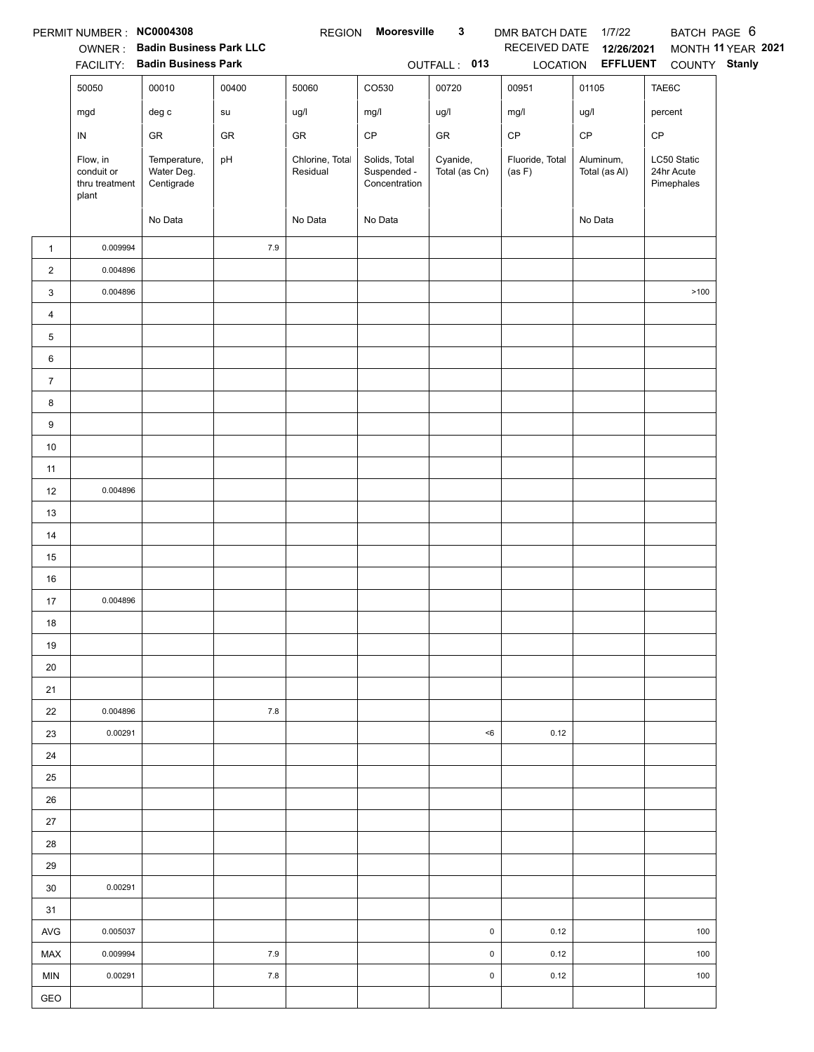|                | PERMIT NUMBER: NC0004308                          |                                          |            | <b>REGION</b>               | Mooresville                                   | $\mathbf{3}$              | DMR BATCH DATE 1/7/22     |                            | BATCH PAGE 6                            |                    |
|----------------|---------------------------------------------------|------------------------------------------|------------|-----------------------------|-----------------------------------------------|---------------------------|---------------------------|----------------------------|-----------------------------------------|--------------------|
|                | OWNER:                                            | <b>Badin Business Park LLC</b>           |            |                             |                                               |                           | RECEIVED DATE             | 12/26/2021                 |                                         | MONTH 11 YEAR 2021 |
|                | <b>FACILITY:</b>                                  | <b>Badin Business Park</b>               |            |                             |                                               | OUTFALL: 013              |                           | LOCATION EFFLUENT          | COUNTY Stanly                           |                    |
|                | 50050                                             | 00010                                    | 00400      | 50060                       | CO530                                         | 00720                     | 00951                     | 01105                      | TAE6C                                   |                    |
|                | mgd                                               | $\deg$ $\mathtt{c}$                      | ${\sf su}$ | ug/l                        | mg/l                                          | ug/l                      | mg/l                      | ug/l                       | percent                                 |                    |
|                | ${\sf IN}$                                        | GR                                       | GR         | GR                          | $\mathsf{CP}$                                 | GR                        | CP                        | $\mathsf{CP}$              | CP                                      |                    |
|                | Flow, in<br>conduit or<br>thru treatment<br>plant | Temperature,<br>Water Deg.<br>Centigrade | pH         | Chlorine, Total<br>Residual | Solids, Total<br>Suspended -<br>Concentration | Cyanide,<br>Total (as Cn) | Fluoride, Total<br>(as F) | Aluminum,<br>Total (as Al) | LC50 Static<br>24hr Acute<br>Pimephales |                    |
|                |                                                   | No Data                                  |            | No Data                     | No Data                                       |                           |                           | No Data                    |                                         |                    |
| $\mathbf{1}$   | 0.009994                                          |                                          | 7.9        |                             |                                               |                           |                           |                            |                                         |                    |
| $\sqrt{2}$     | 0.004896                                          |                                          |            |                             |                                               |                           |                           |                            |                                         |                    |
| 3              | 0.004896                                          |                                          |            |                             |                                               |                           |                           |                            | >100                                    |                    |
| 4              |                                                   |                                          |            |                             |                                               |                           |                           |                            |                                         |                    |
| 5              |                                                   |                                          |            |                             |                                               |                           |                           |                            |                                         |                    |
| 6              |                                                   |                                          |            |                             |                                               |                           |                           |                            |                                         |                    |
| $\overline{7}$ |                                                   |                                          |            |                             |                                               |                           |                           |                            |                                         |                    |
| 8              |                                                   |                                          |            |                             |                                               |                           |                           |                            |                                         |                    |
| 9              |                                                   |                                          |            |                             |                                               |                           |                           |                            |                                         |                    |
| $10\,$         |                                                   |                                          |            |                             |                                               |                           |                           |                            |                                         |                    |
| 11             |                                                   |                                          |            |                             |                                               |                           |                           |                            |                                         |                    |
| 12             | 0.004896                                          |                                          |            |                             |                                               |                           |                           |                            |                                         |                    |
| 13             |                                                   |                                          |            |                             |                                               |                           |                           |                            |                                         |                    |
| 14             |                                                   |                                          |            |                             |                                               |                           |                           |                            |                                         |                    |
| 15             |                                                   |                                          |            |                             |                                               |                           |                           |                            |                                         |                    |
| 16             |                                                   |                                          |            |                             |                                               |                           |                           |                            |                                         |                    |
| 17             | 0.004896                                          |                                          |            |                             |                                               |                           |                           |                            |                                         |                    |
| 18             |                                                   |                                          |            |                             |                                               |                           |                           |                            |                                         |                    |
| 19             |                                                   |                                          |            |                             |                                               |                           |                           |                            |                                         |                    |
| 20             |                                                   |                                          |            |                             |                                               |                           |                           |                            |                                         |                    |
| 21             |                                                   |                                          |            |                             |                                               |                           |                           |                            |                                         |                    |
| 22             | 0.004896                                          |                                          | 7.8        |                             |                                               |                           |                           |                            |                                         |                    |
| 23             | 0.00291                                           |                                          |            |                             |                                               | $<\!6$                    | 0.12                      |                            |                                         |                    |
| 24             |                                                   |                                          |            |                             |                                               |                           |                           |                            |                                         |                    |
| 25             |                                                   |                                          |            |                             |                                               |                           |                           |                            |                                         |                    |
| 26             |                                                   |                                          |            |                             |                                               |                           |                           |                            |                                         |                    |
| 27             |                                                   |                                          |            |                             |                                               |                           |                           |                            |                                         |                    |
| 28             |                                                   |                                          |            |                             |                                               |                           |                           |                            |                                         |                    |
| 29             |                                                   |                                          |            |                             |                                               |                           |                           |                            |                                         |                    |
| 30             | 0.00291                                           |                                          |            |                             |                                               |                           |                           |                            |                                         |                    |
| 31             |                                                   |                                          |            |                             |                                               |                           |                           |                            |                                         |                    |
| <b>AVG</b>     | 0.005037                                          |                                          |            |                             |                                               | $\pmb{0}$                 | 0.12                      |                            | 100                                     |                    |
| MAX            | 0.009994                                          |                                          | 7.9        |                             |                                               | $\pmb{0}$                 | 0.12                      |                            | 100                                     |                    |
| <b>MIN</b>     | 0.00291                                           |                                          | 7.8        |                             |                                               | $\pmb{0}$                 | 0.12                      |                            | 100                                     |                    |
| GEO            |                                                   |                                          |            |                             |                                               |                           |                           |                            |                                         |                    |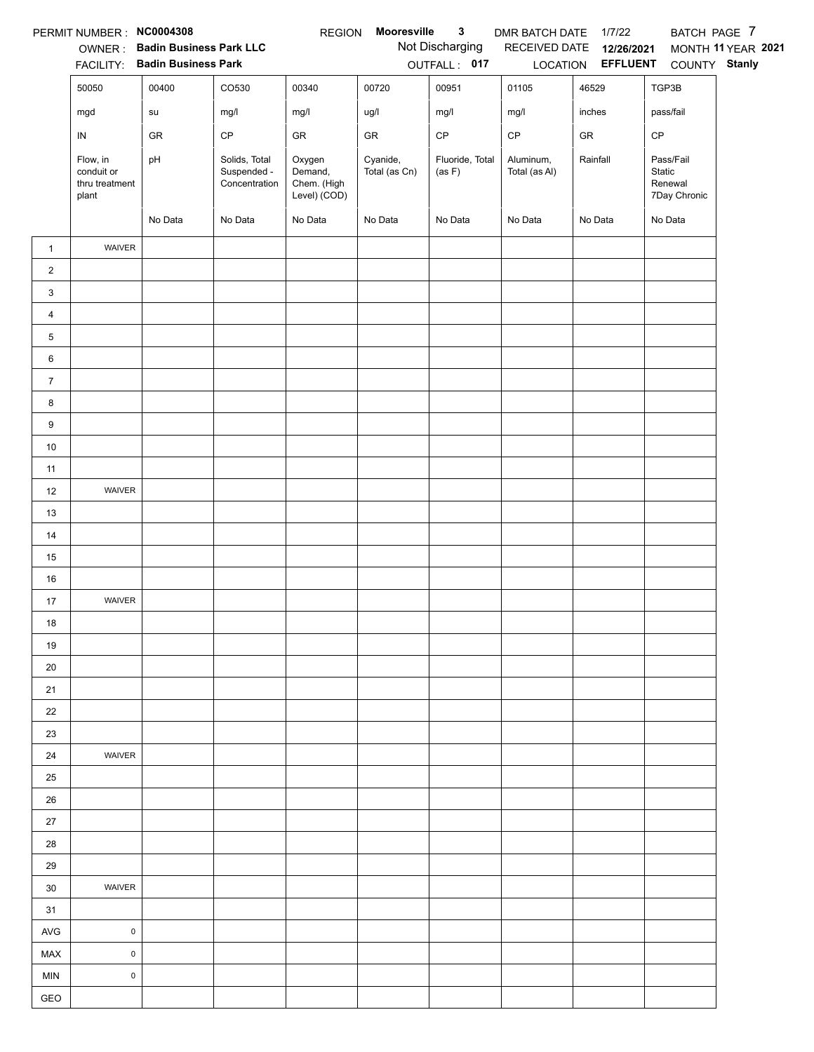|                 | PERMIT NUMBER : NC0004308                         | OWNER: Badin Business Park LLC |                                               | <b>REGION</b>                                    | Mooresville               | $\mathbf{3}$<br>Not Discharging | DMR BATCH DATE<br>RECEIVED DATE | 1/7/22<br>12/26/2021     | BATCH PAGE 7                                   | MONTH 11 YEAR 2021 |
|-----------------|---------------------------------------------------|--------------------------------|-----------------------------------------------|--------------------------------------------------|---------------------------|---------------------------------|---------------------------------|--------------------------|------------------------------------------------|--------------------|
|                 |                                                   | FACILITY: Badin Business Park  |                                               |                                                  |                           | OUTFALL: 017                    |                                 | LOCATION <b>EFFLUENT</b> | COUNTY Stanly                                  |                    |
|                 | 50050                                             | 00400                          | CO530                                         | 00340                                            | 00720                     | 00951                           | 01105                           | 46529                    | TGP3B                                          |                    |
|                 | mgd                                               | su                             | mg/l                                          | mg/l                                             | ug/l                      | mg/l                            | mg/l                            | inches                   | pass/fail                                      |                    |
|                 | ${\sf IN}$                                        | ${\sf GR}$                     | CP                                            | ${\sf GR}$                                       | ${\sf GR}$                | CP                              | $\mathsf{CP}$                   | ${\sf GR}$               | CP                                             |                    |
|                 | Flow, in<br>conduit or<br>thru treatment<br>plant | pH                             | Solids, Total<br>Suspended -<br>Concentration | Oxygen<br>Demand,<br>Chem. (High<br>Level) (COD) | Cyanide,<br>Total (as Cn) | Fluoride, Total<br>(as F)       | Aluminum,<br>Total (as Al)      | Rainfall                 | Pass/Fail<br>Static<br>Renewal<br>7Day Chronic |                    |
|                 |                                                   | No Data                        | No Data                                       | No Data                                          | No Data                   | No Data                         | No Data                         | No Data                  | No Data                                        |                    |
| $\mathbf{1}$    | WAIVER                                            |                                |                                               |                                                  |                           |                                 |                                 |                          |                                                |                    |
| $\overline{2}$  |                                                   |                                |                                               |                                                  |                           |                                 |                                 |                          |                                                |                    |
| 3               |                                                   |                                |                                               |                                                  |                           |                                 |                                 |                          |                                                |                    |
| $\overline{4}$  |                                                   |                                |                                               |                                                  |                           |                                 |                                 |                          |                                                |                    |
| 5               |                                                   |                                |                                               |                                                  |                           |                                 |                                 |                          |                                                |                    |
| $6\phantom{.}6$ |                                                   |                                |                                               |                                                  |                           |                                 |                                 |                          |                                                |                    |
| $\overline{7}$  |                                                   |                                |                                               |                                                  |                           |                                 |                                 |                          |                                                |                    |
| 8               |                                                   |                                |                                               |                                                  |                           |                                 |                                 |                          |                                                |                    |
| 9               |                                                   |                                |                                               |                                                  |                           |                                 |                                 |                          |                                                |                    |
| $10\,$          |                                                   |                                |                                               |                                                  |                           |                                 |                                 |                          |                                                |                    |
| 11              |                                                   |                                |                                               |                                                  |                           |                                 |                                 |                          |                                                |                    |
| 12<br>13        | WAIVER                                            |                                |                                               |                                                  |                           |                                 |                                 |                          |                                                |                    |
| 14              |                                                   |                                |                                               |                                                  |                           |                                 |                                 |                          |                                                |                    |
| 15              |                                                   |                                |                                               |                                                  |                           |                                 |                                 |                          |                                                |                    |
| $16\,$          |                                                   |                                |                                               |                                                  |                           |                                 |                                 |                          |                                                |                    |
| 17              | WAIVER                                            |                                |                                               |                                                  |                           |                                 |                                 |                          |                                                |                    |
| $18$            |                                                   |                                |                                               |                                                  |                           |                                 |                                 |                          |                                                |                    |
| 19              |                                                   |                                |                                               |                                                  |                           |                                 |                                 |                          |                                                |                    |
| 20              |                                                   |                                |                                               |                                                  |                           |                                 |                                 |                          |                                                |                    |
| 21              |                                                   |                                |                                               |                                                  |                           |                                 |                                 |                          |                                                |                    |
| 22              |                                                   |                                |                                               |                                                  |                           |                                 |                                 |                          |                                                |                    |
| 23              |                                                   |                                |                                               |                                                  |                           |                                 |                                 |                          |                                                |                    |
| 24              | WAIVER                                            |                                |                                               |                                                  |                           |                                 |                                 |                          |                                                |                    |
| 25              |                                                   |                                |                                               |                                                  |                           |                                 |                                 |                          |                                                |                    |
| 26              |                                                   |                                |                                               |                                                  |                           |                                 |                                 |                          |                                                |                    |
| 27              |                                                   |                                |                                               |                                                  |                           |                                 |                                 |                          |                                                |                    |
| 28              |                                                   |                                |                                               |                                                  |                           |                                 |                                 |                          |                                                |                    |
| 29              |                                                   |                                |                                               |                                                  |                           |                                 |                                 |                          |                                                |                    |
| 30              | <b>WAIVER</b>                                     |                                |                                               |                                                  |                           |                                 |                                 |                          |                                                |                    |
| 31              |                                                   |                                |                                               |                                                  |                           |                                 |                                 |                          |                                                |                    |
| AVG             | $\mathsf 0$                                       |                                |                                               |                                                  |                           |                                 |                                 |                          |                                                |                    |
| MAX             | $\mathsf{O}\xspace$                               |                                |                                               |                                                  |                           |                                 |                                 |                          |                                                |                    |
| <b>MIN</b>      | $\pmb{0}$                                         |                                |                                               |                                                  |                           |                                 |                                 |                          |                                                |                    |
| GEO             |                                                   |                                |                                               |                                                  |                           |                                 |                                 |                          |                                                |                    |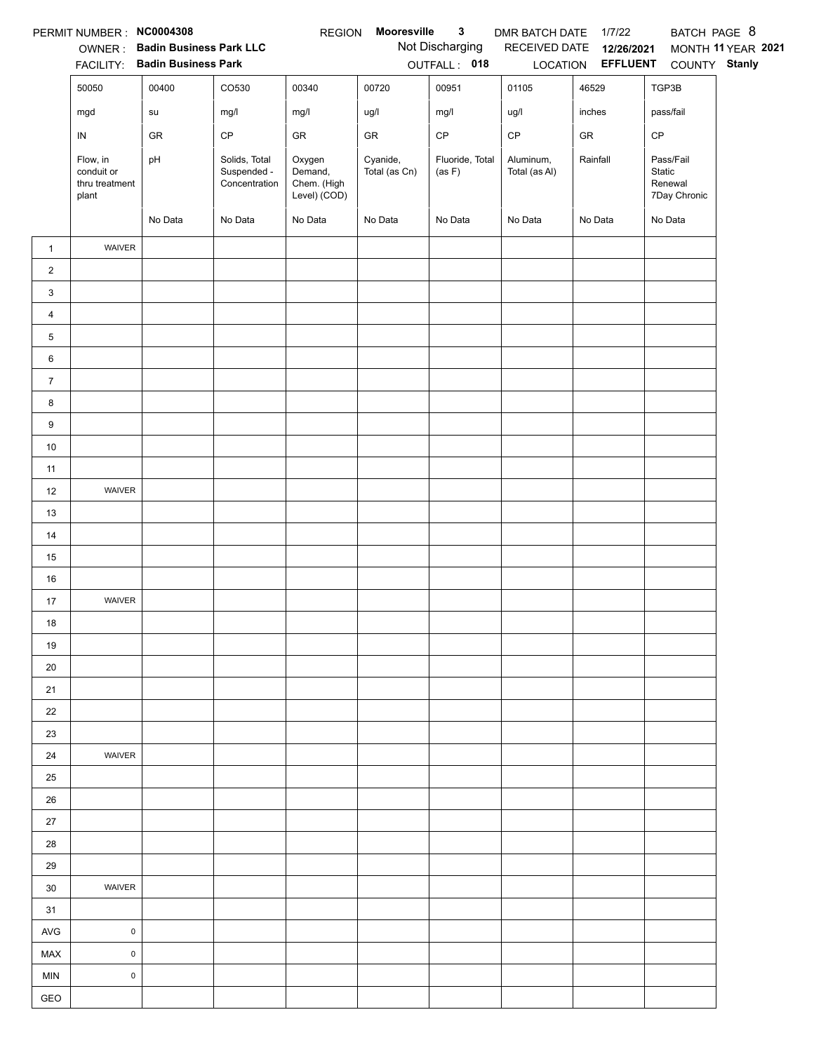|                 | PERMIT NUMBER : NC0004308                         | OWNER: Badin Business Park LLC |                                               | <b>REGION</b>                                    | Mooresville               | $\mathbf{3}$<br>Not Discharging | DMR BATCH DATE<br>RECEIVED DATE | 1/7/22<br>12/26/2021     | BATCH PAGE 8                                   | MONTH 11 YEAR 2021 |
|-----------------|---------------------------------------------------|--------------------------------|-----------------------------------------------|--------------------------------------------------|---------------------------|---------------------------------|---------------------------------|--------------------------|------------------------------------------------|--------------------|
|                 |                                                   | FACILITY: Badin Business Park  |                                               |                                                  |                           | OUTFALL: 018                    |                                 | LOCATION <b>EFFLUENT</b> | COUNTY Stanly                                  |                    |
|                 | 50050                                             | 00400                          | CO530                                         | 00340                                            | 00720                     | 00951                           | 01105                           | 46529                    | TGP3B                                          |                    |
|                 | mgd                                               | su                             | mg/l                                          | mg/l                                             | ug/l                      | mg/l                            | ug/l                            | inches                   | pass/fail                                      |                    |
|                 | ${\sf IN}$                                        | ${\sf GR}$                     | CP                                            | ${\sf GR}$                                       | ${\sf GR}$                | CP                              | $\mathsf{CP}$                   | ${\sf GR}$               | CP                                             |                    |
|                 | Flow, in<br>conduit or<br>thru treatment<br>plant | pH                             | Solids, Total<br>Suspended -<br>Concentration | Oxygen<br>Demand,<br>Chem. (High<br>Level) (COD) | Cyanide,<br>Total (as Cn) | Fluoride, Total<br>(as F)       | Aluminum,<br>Total (as Al)      | Rainfall                 | Pass/Fail<br>Static<br>Renewal<br>7Day Chronic |                    |
|                 |                                                   | No Data                        | No Data                                       | No Data                                          | No Data                   | No Data                         | No Data                         | No Data                  | No Data                                        |                    |
| $\mathbf{1}$    | WAIVER                                            |                                |                                               |                                                  |                           |                                 |                                 |                          |                                                |                    |
| $\overline{2}$  |                                                   |                                |                                               |                                                  |                           |                                 |                                 |                          |                                                |                    |
| 3               |                                                   |                                |                                               |                                                  |                           |                                 |                                 |                          |                                                |                    |
| $\overline{4}$  |                                                   |                                |                                               |                                                  |                           |                                 |                                 |                          |                                                |                    |
| 5               |                                                   |                                |                                               |                                                  |                           |                                 |                                 |                          |                                                |                    |
| $6\phantom{.}6$ |                                                   |                                |                                               |                                                  |                           |                                 |                                 |                          |                                                |                    |
| $\overline{7}$  |                                                   |                                |                                               |                                                  |                           |                                 |                                 |                          |                                                |                    |
| 8               |                                                   |                                |                                               |                                                  |                           |                                 |                                 |                          |                                                |                    |
| 9               |                                                   |                                |                                               |                                                  |                           |                                 |                                 |                          |                                                |                    |
| $10\,$          |                                                   |                                |                                               |                                                  |                           |                                 |                                 |                          |                                                |                    |
| 11              |                                                   |                                |                                               |                                                  |                           |                                 |                                 |                          |                                                |                    |
| 12              | WAIVER                                            |                                |                                               |                                                  |                           |                                 |                                 |                          |                                                |                    |
| 13<br>14        |                                                   |                                |                                               |                                                  |                           |                                 |                                 |                          |                                                |                    |
| 15              |                                                   |                                |                                               |                                                  |                           |                                 |                                 |                          |                                                |                    |
| $16\,$          |                                                   |                                |                                               |                                                  |                           |                                 |                                 |                          |                                                |                    |
| 17              | WAIVER                                            |                                |                                               |                                                  |                           |                                 |                                 |                          |                                                |                    |
| $18$            |                                                   |                                |                                               |                                                  |                           |                                 |                                 |                          |                                                |                    |
| 19              |                                                   |                                |                                               |                                                  |                           |                                 |                                 |                          |                                                |                    |
| 20              |                                                   |                                |                                               |                                                  |                           |                                 |                                 |                          |                                                |                    |
| 21              |                                                   |                                |                                               |                                                  |                           |                                 |                                 |                          |                                                |                    |
| 22              |                                                   |                                |                                               |                                                  |                           |                                 |                                 |                          |                                                |                    |
| 23              |                                                   |                                |                                               |                                                  |                           |                                 |                                 |                          |                                                |                    |
| 24              | WAIVER                                            |                                |                                               |                                                  |                           |                                 |                                 |                          |                                                |                    |
| 25              |                                                   |                                |                                               |                                                  |                           |                                 |                                 |                          |                                                |                    |
| 26              |                                                   |                                |                                               |                                                  |                           |                                 |                                 |                          |                                                |                    |
| 27              |                                                   |                                |                                               |                                                  |                           |                                 |                                 |                          |                                                |                    |
| 28              |                                                   |                                |                                               |                                                  |                           |                                 |                                 |                          |                                                |                    |
| 29              |                                                   |                                |                                               |                                                  |                           |                                 |                                 |                          |                                                |                    |
| 30              | <b>WAIVER</b>                                     |                                |                                               |                                                  |                           |                                 |                                 |                          |                                                |                    |
| 31              |                                                   |                                |                                               |                                                  |                           |                                 |                                 |                          |                                                |                    |
| AVG             | $\mathsf 0$                                       |                                |                                               |                                                  |                           |                                 |                                 |                          |                                                |                    |
| MAX             | $\mathsf{O}\xspace$                               |                                |                                               |                                                  |                           |                                 |                                 |                          |                                                |                    |
| <b>MIN</b>      | $\pmb{0}$                                         |                                |                                               |                                                  |                           |                                 |                                 |                          |                                                |                    |
| GEO             |                                                   |                                |                                               |                                                  |                           |                                 |                                 |                          |                                                |                    |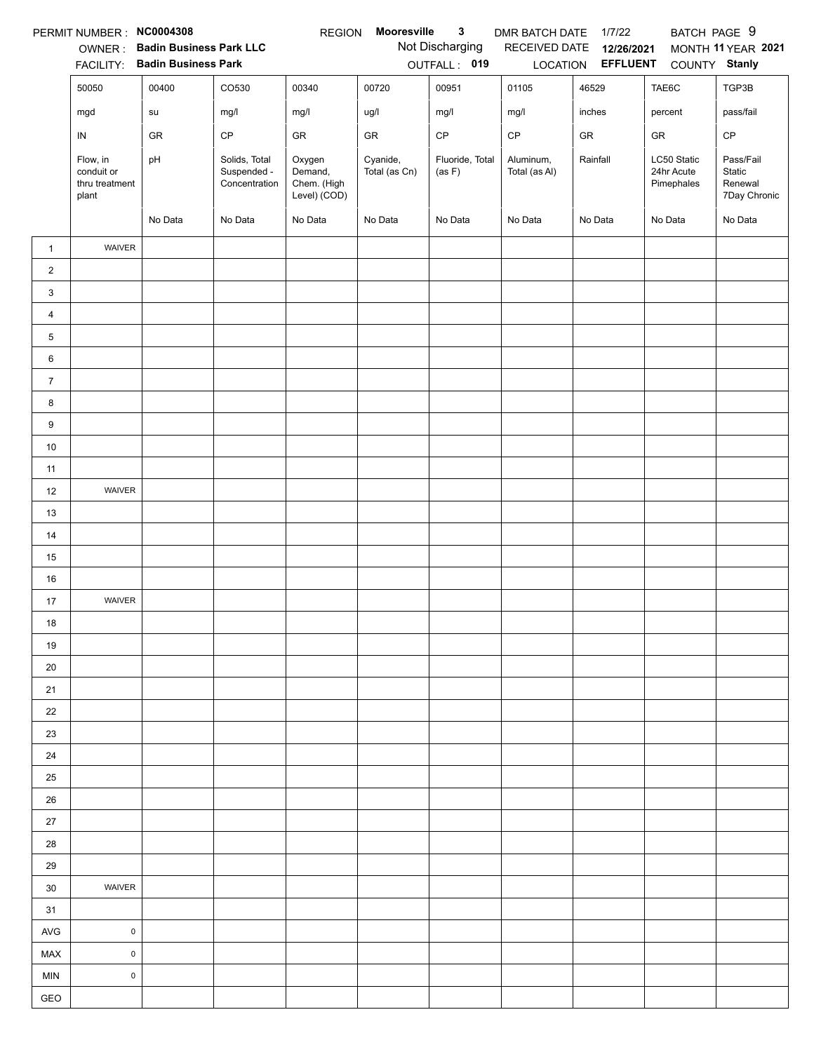|                | PERMIT NUMBER: NC0004308                          |                                                              |                                               | <b>REGION</b>                                    | Mooresville               | 3                               | DMR BATCH DATE             | 1/7/22                        | BATCH PAGE 9                            |                                                |
|----------------|---------------------------------------------------|--------------------------------------------------------------|-----------------------------------------------|--------------------------------------------------|---------------------------|---------------------------------|----------------------------|-------------------------------|-----------------------------------------|------------------------------------------------|
|                | OWNER:<br><b>FACILITY:</b>                        | <b>Badin Business Park LLC</b><br><b>Badin Business Park</b> |                                               |                                                  |                           | Not Discharging<br>OUTFALL: 019 | RECEIVED DATE<br>LOCATION  | 12/26/2021<br><b>EFFLUENT</b> | COUNTY Stanly                           | MONTH 11 YEAR 2021                             |
|                |                                                   |                                                              |                                               |                                                  |                           |                                 |                            |                               |                                         |                                                |
|                | 50050                                             | 00400                                                        | CO530                                         | 00340                                            | 00720                     | 00951                           | 01105                      | 46529                         | TAE6C                                   | TGP3B                                          |
|                | mgd                                               | su                                                           | mg/l                                          | mg/l                                             | ug/l                      | mg/l                            | mg/l                       | inches                        | percent                                 | pass/fail                                      |
|                | IN                                                | GR                                                           | CP                                            | GR                                               | GR                        | $\mathsf{CP}$                   | CP                         | GR                            | GR                                      | $\mathsf{CP}$                                  |
|                | Flow, in<br>conduit or<br>thru treatment<br>plant | pH                                                           | Solids, Total<br>Suspended -<br>Concentration | Oxygen<br>Demand,<br>Chem. (High<br>Level) (COD) | Cyanide,<br>Total (as Cn) | Fluoride, Total<br>(as F)       | Aluminum,<br>Total (as Al) | Rainfall                      | LC50 Static<br>24hr Acute<br>Pimephales | Pass/Fail<br>Static<br>Renewal<br>7Day Chronic |
|                |                                                   | No Data                                                      | No Data                                       | No Data                                          | No Data                   | No Data                         | No Data                    | No Data                       | No Data                                 | No Data                                        |
| $\mathbf{1}$   | WAIVER                                            |                                                              |                                               |                                                  |                           |                                 |                            |                               |                                         |                                                |
| $\overline{c}$ |                                                   |                                                              |                                               |                                                  |                           |                                 |                            |                               |                                         |                                                |
| $\mathbf{3}$   |                                                   |                                                              |                                               |                                                  |                           |                                 |                            |                               |                                         |                                                |
| $\overline{4}$ |                                                   |                                                              |                                               |                                                  |                           |                                 |                            |                               |                                         |                                                |
| 5              |                                                   |                                                              |                                               |                                                  |                           |                                 |                            |                               |                                         |                                                |
| 6              |                                                   |                                                              |                                               |                                                  |                           |                                 |                            |                               |                                         |                                                |
| $\overline{7}$ |                                                   |                                                              |                                               |                                                  |                           |                                 |                            |                               |                                         |                                                |
| 8              |                                                   |                                                              |                                               |                                                  |                           |                                 |                            |                               |                                         |                                                |
| 9              |                                                   |                                                              |                                               |                                                  |                           |                                 |                            |                               |                                         |                                                |
| $10\,$         |                                                   |                                                              |                                               |                                                  |                           |                                 |                            |                               |                                         |                                                |
| 11             |                                                   |                                                              |                                               |                                                  |                           |                                 |                            |                               |                                         |                                                |
| 12             | WAIVER                                            |                                                              |                                               |                                                  |                           |                                 |                            |                               |                                         |                                                |
| 13             |                                                   |                                                              |                                               |                                                  |                           |                                 |                            |                               |                                         |                                                |
| 14             |                                                   |                                                              |                                               |                                                  |                           |                                 |                            |                               |                                         |                                                |
| 15             |                                                   |                                                              |                                               |                                                  |                           |                                 |                            |                               |                                         |                                                |
| 16             |                                                   |                                                              |                                               |                                                  |                           |                                 |                            |                               |                                         |                                                |
| 17             | WAIVER                                            |                                                              |                                               |                                                  |                           |                                 |                            |                               |                                         |                                                |
| 18             |                                                   |                                                              |                                               |                                                  |                           |                                 |                            |                               |                                         |                                                |
| 19             |                                                   |                                                              |                                               |                                                  |                           |                                 |                            |                               |                                         |                                                |
| 20             |                                                   |                                                              |                                               |                                                  |                           |                                 |                            |                               |                                         |                                                |
| 21             |                                                   |                                                              |                                               |                                                  |                           |                                 |                            |                               |                                         |                                                |
| 22             |                                                   |                                                              |                                               |                                                  |                           |                                 |                            |                               |                                         |                                                |
| 23             |                                                   |                                                              |                                               |                                                  |                           |                                 |                            |                               |                                         |                                                |
| 24             |                                                   |                                                              |                                               |                                                  |                           |                                 |                            |                               |                                         |                                                |
| 25             |                                                   |                                                              |                                               |                                                  |                           |                                 |                            |                               |                                         |                                                |
| 26             |                                                   |                                                              |                                               |                                                  |                           |                                 |                            |                               |                                         |                                                |
| 27             |                                                   |                                                              |                                               |                                                  |                           |                                 |                            |                               |                                         |                                                |
| 28             |                                                   |                                                              |                                               |                                                  |                           |                                 |                            |                               |                                         |                                                |
| 29             |                                                   |                                                              |                                               |                                                  |                           |                                 |                            |                               |                                         |                                                |
| 30             | WAIVER                                            |                                                              |                                               |                                                  |                           |                                 |                            |                               |                                         |                                                |
| 31             |                                                   |                                                              |                                               |                                                  |                           |                                 |                            |                               |                                         |                                                |
| <b>AVG</b>     | $\pmb{0}$                                         |                                                              |                                               |                                                  |                           |                                 |                            |                               |                                         |                                                |
| MAX            | $\mathsf 0$                                       |                                                              |                                               |                                                  |                           |                                 |                            |                               |                                         |                                                |
| <b>MIN</b>     | $\pmb{0}$                                         |                                                              |                                               |                                                  |                           |                                 |                            |                               |                                         |                                                |
| GEO            |                                                   |                                                              |                                               |                                                  |                           |                                 |                            |                               |                                         |                                                |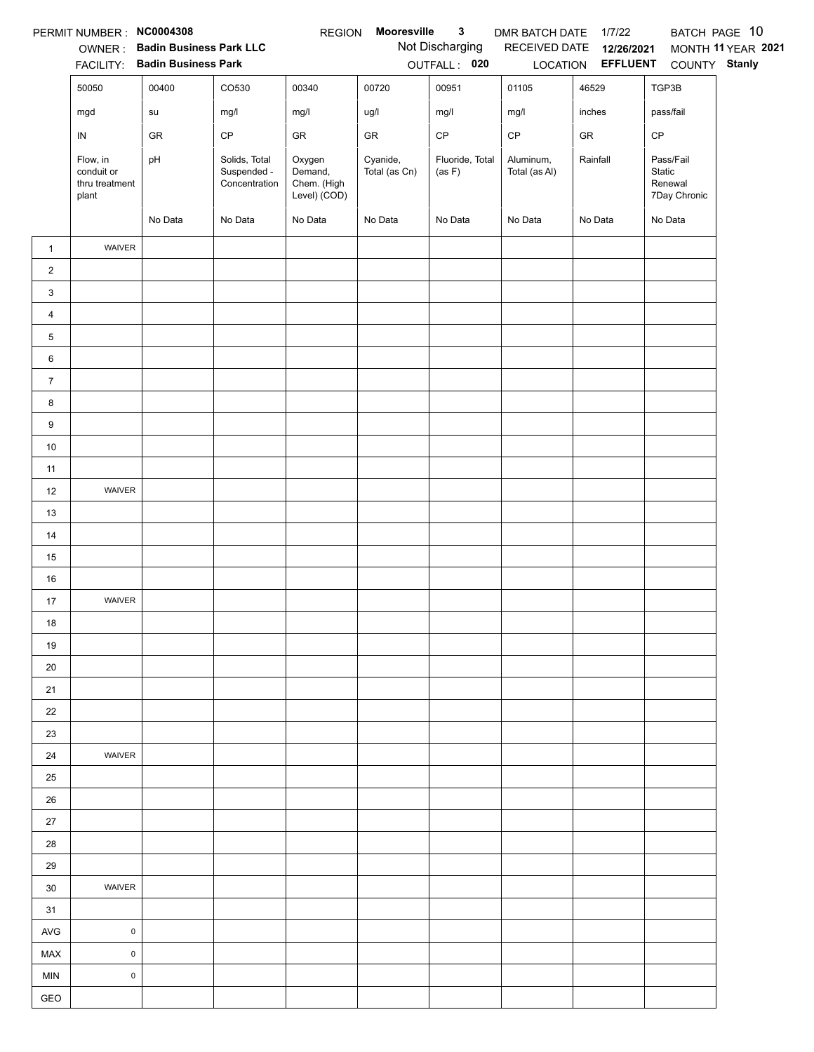|                 | PERMIT NUMBER : NC0004308                         |                                                                 |                                               | <b>REGION</b>                                    | Mooresville               | $\mathbf{3}$                    | DMR BATCH DATE             | 1/7/22                                 |                                                | BATCH PAGE 10      |
|-----------------|---------------------------------------------------|-----------------------------------------------------------------|-----------------------------------------------|--------------------------------------------------|---------------------------|---------------------------------|----------------------------|----------------------------------------|------------------------------------------------|--------------------|
|                 |                                                   | OWNER: Badin Business Park LLC<br>FACILITY: Badin Business Park |                                               |                                                  |                           | Not Discharging<br>OUTFALL: 020 | RECEIVED DATE              | 12/26/2021<br>LOCATION <b>EFFLUENT</b> | COUNTY Stanly                                  | MONTH 11 YEAR 2021 |
|                 | 50050                                             | 00400                                                           | CO530                                         | 00340                                            | 00720                     | 00951                           | 01105                      | 46529                                  | TGP3B                                          |                    |
|                 | mgd                                               | su                                                              | mg/l                                          | mg/l                                             | ug/l                      | mg/l                            | mg/l                       | inches                                 | pass/fail                                      |                    |
|                 |                                                   |                                                                 | CP                                            |                                                  |                           | CP                              |                            |                                        |                                                |                    |
|                 | ${\sf IN}$                                        | GR                                                              |                                               | GR                                               | ${\sf GR}$                |                                 | $\mathsf{CP}$              | ${\sf GR}$                             | CP                                             |                    |
|                 | Flow, in<br>conduit or<br>thru treatment<br>plant | pH                                                              | Solids, Total<br>Suspended -<br>Concentration | Oxygen<br>Demand,<br>Chem. (High<br>Level) (COD) | Cyanide,<br>Total (as Cn) | Fluoride, Total<br>(as F)       | Aluminum,<br>Total (as Al) | Rainfall                               | Pass/Fail<br>Static<br>Renewal<br>7Day Chronic |                    |
|                 |                                                   | No Data                                                         | No Data                                       | No Data                                          | No Data                   | No Data                         | No Data                    | No Data                                | No Data                                        |                    |
| $\mathbf{1}$    | WAIVER                                            |                                                                 |                                               |                                                  |                           |                                 |                            |                                        |                                                |                    |
| $\overline{2}$  |                                                   |                                                                 |                                               |                                                  |                           |                                 |                            |                                        |                                                |                    |
| 3               |                                                   |                                                                 |                                               |                                                  |                           |                                 |                            |                                        |                                                |                    |
| $\overline{4}$  |                                                   |                                                                 |                                               |                                                  |                           |                                 |                            |                                        |                                                |                    |
| 5               |                                                   |                                                                 |                                               |                                                  |                           |                                 |                            |                                        |                                                |                    |
| $6\phantom{.}6$ |                                                   |                                                                 |                                               |                                                  |                           |                                 |                            |                                        |                                                |                    |
| $\overline{7}$  |                                                   |                                                                 |                                               |                                                  |                           |                                 |                            |                                        |                                                |                    |
| 8               |                                                   |                                                                 |                                               |                                                  |                           |                                 |                            |                                        |                                                |                    |
| 9               |                                                   |                                                                 |                                               |                                                  |                           |                                 |                            |                                        |                                                |                    |
| $10\,$          |                                                   |                                                                 |                                               |                                                  |                           |                                 |                            |                                        |                                                |                    |
| 11              |                                                   |                                                                 |                                               |                                                  |                           |                                 |                            |                                        |                                                |                    |
| 12              | WAIVER                                            |                                                                 |                                               |                                                  |                           |                                 |                            |                                        |                                                |                    |
| 13              |                                                   |                                                                 |                                               |                                                  |                           |                                 |                            |                                        |                                                |                    |
| 14              |                                                   |                                                                 |                                               |                                                  |                           |                                 |                            |                                        |                                                |                    |
| 15              |                                                   |                                                                 |                                               |                                                  |                           |                                 |                            |                                        |                                                |                    |
| $16\,$          |                                                   |                                                                 |                                               |                                                  |                           |                                 |                            |                                        |                                                |                    |
| 17              | WAIVER                                            |                                                                 |                                               |                                                  |                           |                                 |                            |                                        |                                                |                    |
| $18$            |                                                   |                                                                 |                                               |                                                  |                           |                                 |                            |                                        |                                                |                    |
| 19              |                                                   |                                                                 |                                               |                                                  |                           |                                 |                            |                                        |                                                |                    |
| 20              |                                                   |                                                                 |                                               |                                                  |                           |                                 |                            |                                        |                                                |                    |
| 21              |                                                   |                                                                 |                                               |                                                  |                           |                                 |                            |                                        |                                                |                    |
| 22              |                                                   |                                                                 |                                               |                                                  |                           |                                 |                            |                                        |                                                |                    |
| 23              |                                                   |                                                                 |                                               |                                                  |                           |                                 |                            |                                        |                                                |                    |
| 24              | WAIVER                                            |                                                                 |                                               |                                                  |                           |                                 |                            |                                        |                                                |                    |
| 25              |                                                   |                                                                 |                                               |                                                  |                           |                                 |                            |                                        |                                                |                    |
| 26              |                                                   |                                                                 |                                               |                                                  |                           |                                 |                            |                                        |                                                |                    |
| 27              |                                                   |                                                                 |                                               |                                                  |                           |                                 |                            |                                        |                                                |                    |
| 28              |                                                   |                                                                 |                                               |                                                  |                           |                                 |                            |                                        |                                                |                    |
| 29              |                                                   |                                                                 |                                               |                                                  |                           |                                 |                            |                                        |                                                |                    |
| 30              | <b>WAIVER</b>                                     |                                                                 |                                               |                                                  |                           |                                 |                            |                                        |                                                |                    |
| 31              |                                                   |                                                                 |                                               |                                                  |                           |                                 |                            |                                        |                                                |                    |
| AVG             | $\mathsf 0$                                       |                                                                 |                                               |                                                  |                           |                                 |                            |                                        |                                                |                    |
| MAX             | $\mathsf{O}\xspace$                               |                                                                 |                                               |                                                  |                           |                                 |                            |                                        |                                                |                    |
| <b>MIN</b>      | $\pmb{0}$                                         |                                                                 |                                               |                                                  |                           |                                 |                            |                                        |                                                |                    |
| GEO             |                                                   |                                                                 |                                               |                                                  |                           |                                 |                            |                                        |                                                |                    |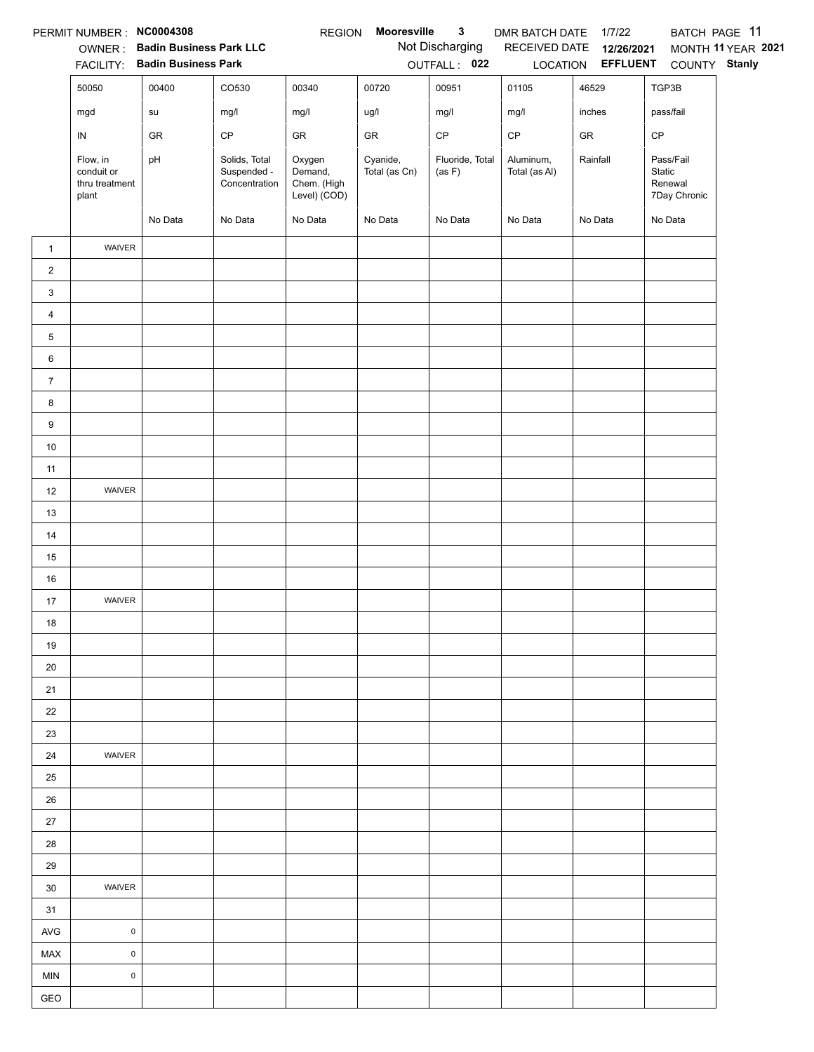|                 | PERMIT NUMBER : NC0004308                         |                                                                 |                                               | <b>REGION</b>                                    | Mooresville               | $\mathbf{3}$                    | DMR BATCH DATE             | 1/7/22                                 | BATCH PAGE 11                                  |                    |
|-----------------|---------------------------------------------------|-----------------------------------------------------------------|-----------------------------------------------|--------------------------------------------------|---------------------------|---------------------------------|----------------------------|----------------------------------------|------------------------------------------------|--------------------|
|                 |                                                   | OWNER: Badin Business Park LLC<br>FACILITY: Badin Business Park |                                               |                                                  |                           | Not Discharging<br>OUTFALL: 022 | RECEIVED DATE              | 12/26/2021<br>LOCATION <b>EFFLUENT</b> | COUNTY Stanly                                  | MONTH 11 YEAR 2021 |
|                 | 50050                                             | 00400                                                           | CO530                                         | 00340                                            | 00720                     | 00951                           | 01105                      | 46529                                  | TGP3B                                          |                    |
|                 |                                                   |                                                                 |                                               |                                                  |                           |                                 |                            |                                        |                                                |                    |
|                 | mgd                                               | su                                                              | mg/l                                          | mg/l                                             | ug/l                      | mg/l                            | mg/l                       | inches                                 | pass/fail                                      |                    |
|                 | ${\sf IN}$                                        | GR                                                              | CP                                            | GR                                               | ${\sf GR}$                | CP                              | $\mathsf{CP}$              | ${\sf GR}$                             | CP                                             |                    |
|                 | Flow, in<br>conduit or<br>thru treatment<br>plant | pH                                                              | Solids, Total<br>Suspended -<br>Concentration | Oxygen<br>Demand,<br>Chem. (High<br>Level) (COD) | Cyanide,<br>Total (as Cn) | Fluoride, Total<br>(as F)       | Aluminum,<br>Total (as Al) | Rainfall                               | Pass/Fail<br>Static<br>Renewal<br>7Day Chronic |                    |
|                 |                                                   | No Data                                                         | No Data                                       | No Data                                          | No Data                   | No Data                         | No Data                    | No Data                                | No Data                                        |                    |
| $\mathbf{1}$    | WAIVER                                            |                                                                 |                                               |                                                  |                           |                                 |                            |                                        |                                                |                    |
| $\overline{2}$  |                                                   |                                                                 |                                               |                                                  |                           |                                 |                            |                                        |                                                |                    |
| 3               |                                                   |                                                                 |                                               |                                                  |                           |                                 |                            |                                        |                                                |                    |
| $\overline{4}$  |                                                   |                                                                 |                                               |                                                  |                           |                                 |                            |                                        |                                                |                    |
| 5               |                                                   |                                                                 |                                               |                                                  |                           |                                 |                            |                                        |                                                |                    |
| $6\phantom{.}6$ |                                                   |                                                                 |                                               |                                                  |                           |                                 |                            |                                        |                                                |                    |
| $\overline{7}$  |                                                   |                                                                 |                                               |                                                  |                           |                                 |                            |                                        |                                                |                    |
| 8               |                                                   |                                                                 |                                               |                                                  |                           |                                 |                            |                                        |                                                |                    |
| 9               |                                                   |                                                                 |                                               |                                                  |                           |                                 |                            |                                        |                                                |                    |
| $10\,$          |                                                   |                                                                 |                                               |                                                  |                           |                                 |                            |                                        |                                                |                    |
| 11              |                                                   |                                                                 |                                               |                                                  |                           |                                 |                            |                                        |                                                |                    |
| 12              | WAIVER                                            |                                                                 |                                               |                                                  |                           |                                 |                            |                                        |                                                |                    |
| 13              |                                                   |                                                                 |                                               |                                                  |                           |                                 |                            |                                        |                                                |                    |
| 14              |                                                   |                                                                 |                                               |                                                  |                           |                                 |                            |                                        |                                                |                    |
| 15              |                                                   |                                                                 |                                               |                                                  |                           |                                 |                            |                                        |                                                |                    |
| $16\,$          |                                                   |                                                                 |                                               |                                                  |                           |                                 |                            |                                        |                                                |                    |
| 17              | WAIVER                                            |                                                                 |                                               |                                                  |                           |                                 |                            |                                        |                                                |                    |
| $18$            |                                                   |                                                                 |                                               |                                                  |                           |                                 |                            |                                        |                                                |                    |
| 19              |                                                   |                                                                 |                                               |                                                  |                           |                                 |                            |                                        |                                                |                    |
| 20              |                                                   |                                                                 |                                               |                                                  |                           |                                 |                            |                                        |                                                |                    |
| 21              |                                                   |                                                                 |                                               |                                                  |                           |                                 |                            |                                        |                                                |                    |
| 22              |                                                   |                                                                 |                                               |                                                  |                           |                                 |                            |                                        |                                                |                    |
| 23              |                                                   |                                                                 |                                               |                                                  |                           |                                 |                            |                                        |                                                |                    |
| 24              | WAIVER                                            |                                                                 |                                               |                                                  |                           |                                 |                            |                                        |                                                |                    |
| 25              |                                                   |                                                                 |                                               |                                                  |                           |                                 |                            |                                        |                                                |                    |
| 26              |                                                   |                                                                 |                                               |                                                  |                           |                                 |                            |                                        |                                                |                    |
| 27              |                                                   |                                                                 |                                               |                                                  |                           |                                 |                            |                                        |                                                |                    |
| 28              |                                                   |                                                                 |                                               |                                                  |                           |                                 |                            |                                        |                                                |                    |
| 29              |                                                   |                                                                 |                                               |                                                  |                           |                                 |                            |                                        |                                                |                    |
| 30              | <b>WAIVER</b>                                     |                                                                 |                                               |                                                  |                           |                                 |                            |                                        |                                                |                    |
| 31              |                                                   |                                                                 |                                               |                                                  |                           |                                 |                            |                                        |                                                |                    |
| AVG             | $\mathsf 0$                                       |                                                                 |                                               |                                                  |                           |                                 |                            |                                        |                                                |                    |
| MAX             | $\mathsf{O}\xspace$                               |                                                                 |                                               |                                                  |                           |                                 |                            |                                        |                                                |                    |
| <b>MIN</b>      | $\pmb{0}$                                         |                                                                 |                                               |                                                  |                           |                                 |                            |                                        |                                                |                    |
| GEO             |                                                   |                                                                 |                                               |                                                  |                           |                                 |                            |                                        |                                                |                    |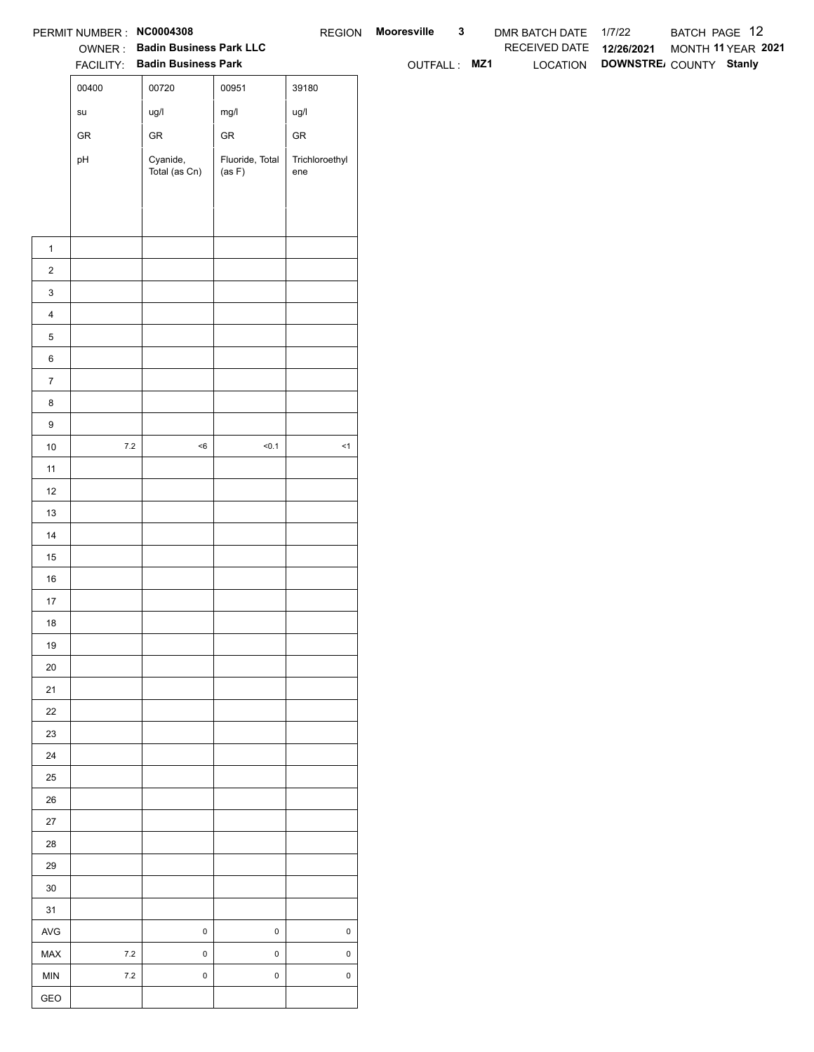|                         | PERMIT NUMBER : NC0004308             |                                                                 |                           |                       | REGION Mooresville | $\mathbf{3}$ | DMR BATCH DATE 1/7/22    | BATCH PAGE 12                                         |
|-------------------------|---------------------------------------|-----------------------------------------------------------------|---------------------------|-----------------------|--------------------|--------------|--------------------------|-------------------------------------------------------|
|                         |                                       | OWNER: Badin Business Park LLC<br>FACILITY: Badin Business Park |                           |                       | OUTFALL: MZ1       |              | RECEIVED DATE 12/26/2021 | MONTH 11 YEAR 2021<br>LOCATION DOWNSTRE COUNTY Stanly |
|                         | 00400                                 | 00720                                                           | 00951                     | 39180                 |                    |              |                          |                                                       |
|                         |                                       |                                                                 |                           |                       |                    |              |                          |                                                       |
|                         | $\operatorname{\mathsf{su}}\nolimits$ | ug/l                                                            | mg/l                      | ug/l                  |                    |              |                          |                                                       |
|                         | ${\sf GR}$                            | ${\sf GR}$                                                      | ${\sf GR}$                | ${\sf GR}$            |                    |              |                          |                                                       |
|                         | pH                                    | Cyanide,<br>Total (as Cn)                                       | Fluoride, Total<br>(as F) | Trichloroethyl<br>ene |                    |              |                          |                                                       |
|                         |                                       |                                                                 |                           |                       |                    |              |                          |                                                       |
|                         |                                       |                                                                 |                           |                       |                    |              |                          |                                                       |
|                         |                                       |                                                                 |                           |                       |                    |              |                          |                                                       |
| $\mathbf{1}$            |                                       |                                                                 |                           |                       |                    |              |                          |                                                       |
| $\overline{2}$          |                                       |                                                                 |                           |                       |                    |              |                          |                                                       |
| $\mathbf{3}$            |                                       |                                                                 |                           |                       |                    |              |                          |                                                       |
| $\overline{4}$          |                                       |                                                                 |                           |                       |                    |              |                          |                                                       |
| $\,$ 5 $\,$             |                                       |                                                                 |                           |                       |                    |              |                          |                                                       |
| $\,6$<br>$\overline{7}$ |                                       |                                                                 |                           |                       |                    |              |                          |                                                       |
|                         |                                       |                                                                 |                           |                       |                    |              |                          |                                                       |
| 8<br>$\boldsymbol{9}$   |                                       |                                                                 |                           |                       |                    |              |                          |                                                       |
| 10                      | $7.2\,$                               | $<\!6$                                                          | < 0.1                     | $\leq$ 1              |                    |              |                          |                                                       |
| 11                      |                                       |                                                                 |                           |                       |                    |              |                          |                                                       |
| 12                      |                                       |                                                                 |                           |                       |                    |              |                          |                                                       |
| 13                      |                                       |                                                                 |                           |                       |                    |              |                          |                                                       |
| 14                      |                                       |                                                                 |                           |                       |                    |              |                          |                                                       |
| 15                      |                                       |                                                                 |                           |                       |                    |              |                          |                                                       |
| 16                      |                                       |                                                                 |                           |                       |                    |              |                          |                                                       |
| $17$                    |                                       |                                                                 |                           |                       |                    |              |                          |                                                       |
| 18                      |                                       |                                                                 |                           |                       |                    |              |                          |                                                       |
| 19                      |                                       |                                                                 |                           |                       |                    |              |                          |                                                       |
| $20\,$                  |                                       |                                                                 |                           |                       |                    |              |                          |                                                       |
| 21                      |                                       |                                                                 |                           |                       |                    |              |                          |                                                       |
| 22                      |                                       |                                                                 |                           |                       |                    |              |                          |                                                       |
| 23                      |                                       |                                                                 |                           |                       |                    |              |                          |                                                       |
| 24                      |                                       |                                                                 |                           |                       |                    |              |                          |                                                       |
| 25                      |                                       |                                                                 |                           |                       |                    |              |                          |                                                       |
| 26                      |                                       |                                                                 |                           |                       |                    |              |                          |                                                       |
| 27                      |                                       |                                                                 |                           |                       |                    |              |                          |                                                       |
| 28                      |                                       |                                                                 |                           |                       |                    |              |                          |                                                       |
| 29                      |                                       |                                                                 |                           |                       |                    |              |                          |                                                       |
| $30\,$                  |                                       |                                                                 |                           |                       |                    |              |                          |                                                       |
| 31                      |                                       |                                                                 |                           |                       |                    |              |                          |                                                       |
| AVG                     |                                       | $\pmb{0}$                                                       | $\mathsf 0$               | $\pmb{0}$             |                    |              |                          |                                                       |
| MAX                     | 7.2                                   | $\pmb{0}$                                                       | $\mathsf 0$               | $\mathsf 0$           |                    |              |                          |                                                       |
| <b>MIN</b>              | $7.2\,$                               | $\mathbf 0$                                                     | $\mathbf 0$               | $\mathsf 0$           |                    |              |                          |                                                       |
| GEO                     |                                       |                                                                 |                           |                       |                    |              |                          |                                                       |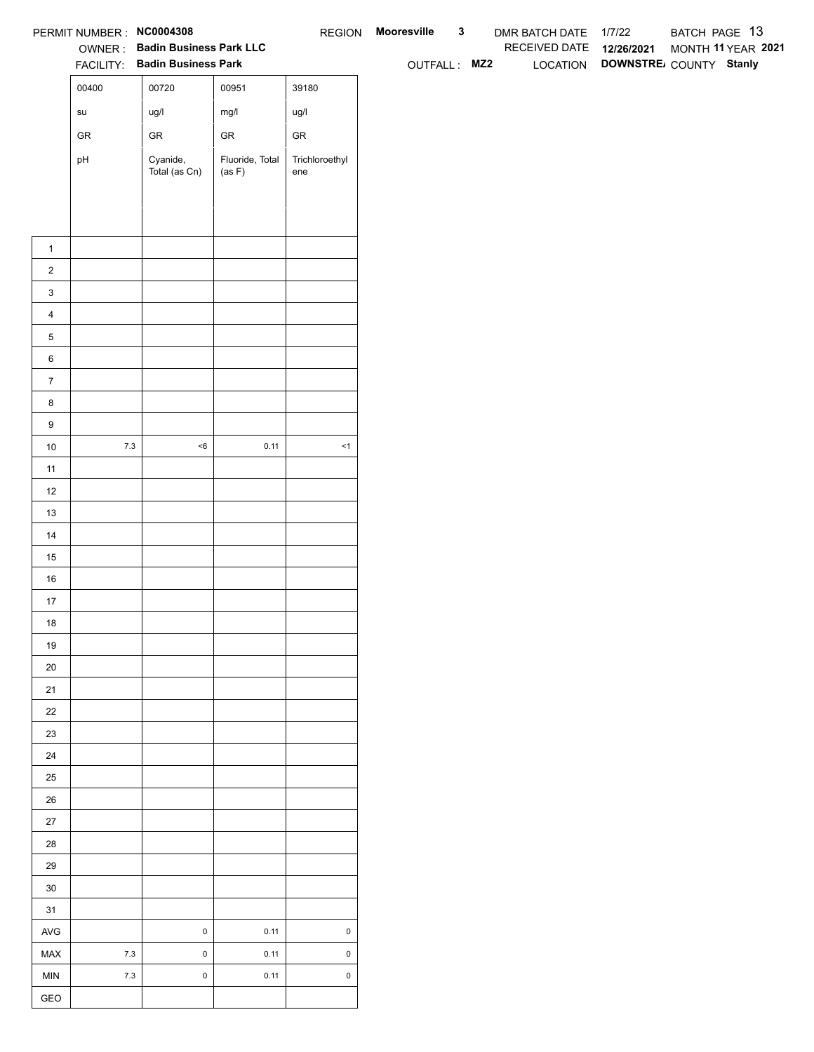|                  | PERMIT NUMBER : NC0004308             |                                                                 |                           |                       | REGION Mooresville | $\mathbf{3}$ | DMR BATCH DATE 1/7/22    | BATCH PAGE 13                                         |
|------------------|---------------------------------------|-----------------------------------------------------------------|---------------------------|-----------------------|--------------------|--------------|--------------------------|-------------------------------------------------------|
|                  |                                       | OWNER: Badin Business Park LLC<br>FACILITY: Badin Business Park |                           |                       | OUTFALL: MZ2       |              | RECEIVED DATE 12/26/2021 | MONTH 11 YEAR 2021<br>LOCATION DOWNSTRE COUNTY Stanly |
|                  | 00400                                 | 00720                                                           | 00951                     | 39180                 |                    |              |                          |                                                       |
|                  |                                       |                                                                 |                           |                       |                    |              |                          |                                                       |
|                  | $\operatorname{\mathsf{su}}\nolimits$ | ug/l                                                            | mg/l                      | ug/l                  |                    |              |                          |                                                       |
|                  | ${\sf GR}$                            | ${\sf GR}$                                                      | ${\sf GR}$                | ${\sf GR}$            |                    |              |                          |                                                       |
|                  | pH                                    | Cyanide,<br>Total (as Cn)                                       | Fluoride, Total<br>(as F) | Trichloroethyl<br>ene |                    |              |                          |                                                       |
|                  |                                       |                                                                 |                           |                       |                    |              |                          |                                                       |
|                  |                                       |                                                                 |                           |                       |                    |              |                          |                                                       |
|                  |                                       |                                                                 |                           |                       |                    |              |                          |                                                       |
| $\mathbf{1}$     |                                       |                                                                 |                           |                       |                    |              |                          |                                                       |
| $\overline{2}$   |                                       |                                                                 |                           |                       |                    |              |                          |                                                       |
| $\mathbf{3}$     |                                       |                                                                 |                           |                       |                    |              |                          |                                                       |
| $\overline{4}$   |                                       |                                                                 |                           |                       |                    |              |                          |                                                       |
| $\mathbf 5$      |                                       |                                                                 |                           |                       |                    |              |                          |                                                       |
| $\,6\,$          |                                       |                                                                 |                           |                       |                    |              |                          |                                                       |
| $\overline{7}$   |                                       |                                                                 |                           |                       |                    |              |                          |                                                       |
| 8                |                                       |                                                                 |                           |                       |                    |              |                          |                                                       |
| $\boldsymbol{9}$ | $7.3\,$                               | $<\!6$                                                          | 0.11                      | $\leq$ 1              |                    |              |                          |                                                       |
| 10               |                                       |                                                                 |                           |                       |                    |              |                          |                                                       |
| 11               |                                       |                                                                 |                           |                       |                    |              |                          |                                                       |
| 12               |                                       |                                                                 |                           |                       |                    |              |                          |                                                       |
| 13               |                                       |                                                                 |                           |                       |                    |              |                          |                                                       |
| 14               |                                       |                                                                 |                           |                       |                    |              |                          |                                                       |
| 15<br>$16\,$     |                                       |                                                                 |                           |                       |                    |              |                          |                                                       |
| 17               |                                       |                                                                 |                           |                       |                    |              |                          |                                                       |
| 18               |                                       |                                                                 |                           |                       |                    |              |                          |                                                       |
| 19               |                                       |                                                                 |                           |                       |                    |              |                          |                                                       |
| $20\,$           |                                       |                                                                 |                           |                       |                    |              |                          |                                                       |
| 21               |                                       |                                                                 |                           |                       |                    |              |                          |                                                       |
| $22\,$           |                                       |                                                                 |                           |                       |                    |              |                          |                                                       |
| 23               |                                       |                                                                 |                           |                       |                    |              |                          |                                                       |
| 24               |                                       |                                                                 |                           |                       |                    |              |                          |                                                       |
| $25\,$           |                                       |                                                                 |                           |                       |                    |              |                          |                                                       |
| $26\,$           |                                       |                                                                 |                           |                       |                    |              |                          |                                                       |
| $27\,$           |                                       |                                                                 |                           |                       |                    |              |                          |                                                       |
| 28               |                                       |                                                                 |                           |                       |                    |              |                          |                                                       |
| 29               |                                       |                                                                 |                           |                       |                    |              |                          |                                                       |
| $30\,$           |                                       |                                                                 |                           |                       |                    |              |                          |                                                       |
| 31               |                                       |                                                                 |                           |                       |                    |              |                          |                                                       |
| $\mathsf{AVG}$   |                                       | $\pmb{0}$                                                       | 0.11                      | $\mathsf{O}\xspace$   |                    |              |                          |                                                       |
| MAX              | $7.3$                                 | $\mathbf 0$                                                     | 0.11                      | $\mathsf 0$           |                    |              |                          |                                                       |
| <b>MIN</b>       | $7.3$                                 | $\pmb{0}$                                                       | 0.11                      | $\mathsf 0$           |                    |              |                          |                                                       |
| GEO              |                                       |                                                                 |                           |                       |                    |              |                          |                                                       |